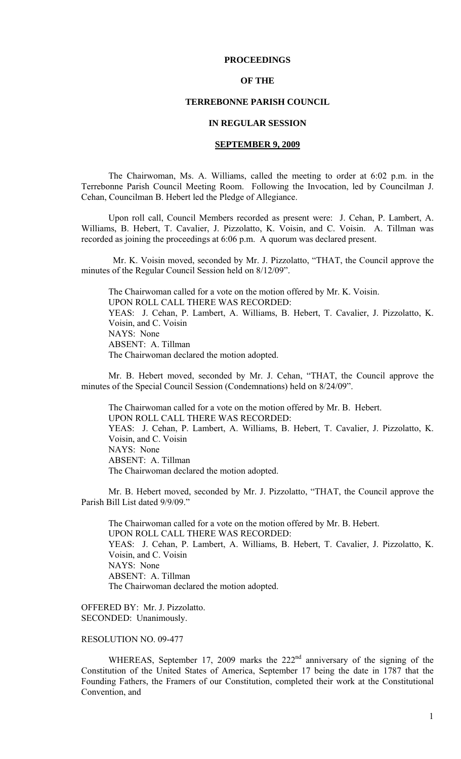# **PROCEEDINGS**

# **OF THE**

# **TERREBONNE PARISH COUNCIL**

# **IN REGULAR SESSION**

## **SEPTEMBER 9, 2009**

 The Chairwoman, Ms. A. Williams, called the meeting to order at 6:02 p.m. in the Terrebonne Parish Council Meeting Room. Following the Invocation, led by Councilman J. Cehan, Councilman B. Hebert led the Pledge of Allegiance.

Upon roll call, Council Members recorded as present were: J. Cehan, P. Lambert, A. Williams, B. Hebert, T. Cavalier, J. Pizzolatto, K. Voisin, and C. Voisin. A. Tillman was recorded as joining the proceedings at 6:06 p.m. A quorum was declared present.

 Mr. K. Voisin moved, seconded by Mr. J. Pizzolatto, "THAT, the Council approve the minutes of the Regular Council Session held on 8/12/09".

The Chairwoman called for a vote on the motion offered by Mr. K. Voisin. UPON ROLL CALL THERE WAS RECORDED: YEAS: J. Cehan, P. Lambert, A. Williams, B. Hebert, T. Cavalier, J. Pizzolatto, K. Voisin, and C. Voisin NAYS: None ABSENT: A. Tillman The Chairwoman declared the motion adopted.

 Mr. B. Hebert moved, seconded by Mr. J. Cehan, "THAT, the Council approve the minutes of the Special Council Session (Condemnations) held on 8/24/09".

 The Chairwoman called for a vote on the motion offered by Mr. B. Hebert. UPON ROLL CALL THERE WAS RECORDED: YEAS: J. Cehan, P. Lambert, A. Williams, B. Hebert, T. Cavalier, J. Pizzolatto, K. Voisin, and C. Voisin NAYS: None ABSENT: A. Tillman The Chairwoman declared the motion adopted.

Mr. B. Hebert moved, seconded by Mr. J. Pizzolatto, "THAT, the Council approve the Parish Bill List dated 9/9/09."

The Chairwoman called for a vote on the motion offered by Mr. B. Hebert. UPON ROLL CALL THERE WAS RECORDED: YEAS: J. Cehan, P. Lambert, A. Williams, B. Hebert, T. Cavalier, J. Pizzolatto, K. Voisin, and C. Voisin NAYS: None ABSENT: A. Tillman The Chairwoman declared the motion adopted.

OFFERED BY: Mr. J. Pizzolatto. SECONDED: Unanimously.

# RESOLUTION NO. 09-477

WHEREAS, September 17, 2009 marks the 222<sup>nd</sup> anniversary of the signing of the Constitution of the United States of America, September 17 being the date in 1787 that the Founding Fathers, the Framers of our Constitution, completed their work at the Constitutional Convention, and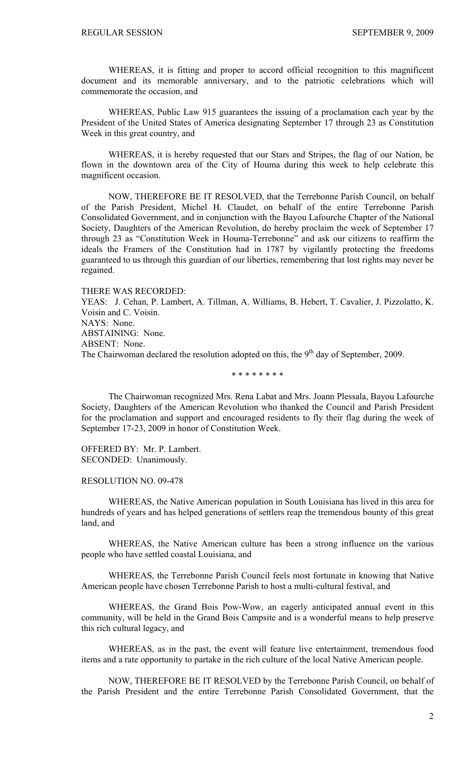WHEREAS, it is fitting and proper to accord official recognition to this magnificent document and its memorable anniversary, and to the patriotic celebrations which will commemorate the occasion, and

WHEREAS, Public Law 915 guarantees the issuing of a proclamation each year by the President of the United States of America designating September 17 through 23 as Constitution Week in this great country, and

WHEREAS, it is hereby requested that our Stars and Stripes, the flag of our Nation, be flown in the downtown area of the City of Houma during this week to help celebrate this magnificent occasion.

NOW, THEREFORE BE IT RESOLVED, that the Terrebonne Parish Council, on behalf of the Parish President, Michel H. Claudet, on behalf of the entire Terrebonne Parish Consolidated Government, and in conjunction with the Bayou Lafourche Chapter of the National Society, Daughters of the American Revolution, do hereby proclaim the week of September 17 through 23 as "Constitution Week in Houma-Terrebonne" and ask our citizens to reaffirm the ideals the Framers of the Constitution had in 1787 by vigilantly protecting the freedoms guaranteed to us through this guardian of our liberties, remembering that lost rights may never be regained.

#### THERE WAS RECORDED:

YEAS: J. Cehan, P. Lambert, A. Tillman, A. Williams, B. Hebert, T. Cavalier, J. Pizzolatto, K. Voisin and C. Voisin. NAYS: None. ABSTAINING: None. ABSENT: None. The Chairwoman declared the resolution adopted on this, the  $9<sup>th</sup>$  day of September, 2009.

\* \* \* \* \* \* \* \*

The Chairwoman recognized Mrs. Rena Labat and Mrs. Joann Plessala, Bayou Lafourche Society, Daughters of the American Revolution who thanked the Council and Parish President for the proclamation and support and encouraged residents to fly their flag during the week of September 17-23, 2009 in honor of Constitution Week.

OFFERED BY: Mr. P. Lambert. SECONDED: Unanimously.

#### RESOLUTION NO. 09-478

 WHEREAS, the Native American population in South Louisiana has lived in this area for hundreds of years and has helped generations of settlers reap the tremendous bounty of this great land, and

 WHEREAS, the Native American culture has been a strong influence on the various people who have settled coastal Louisiana, and

 WHEREAS, the Terrebonne Parish Council feels most fortunate in knowing that Native American people have chosen Terrebonne Parish to host a multi-cultural festival, and

 WHEREAS, the Grand Bois Pow-Wow, an eagerly anticipated annual event in this community, will be held in the Grand Bois Campsite and is a wonderful means to help preserve this rich cultural legacy, and

 WHEREAS, as in the past, the event will feature live entertainment, tremendous food items and a rate opportunity to partake in the rich culture of the local Native American people.

 NOW, THEREFORE BE IT RESOLVED by the Terrebonne Parish Council, on behalf of the Parish President and the entire Terrebonne Parish Consolidated Government, that the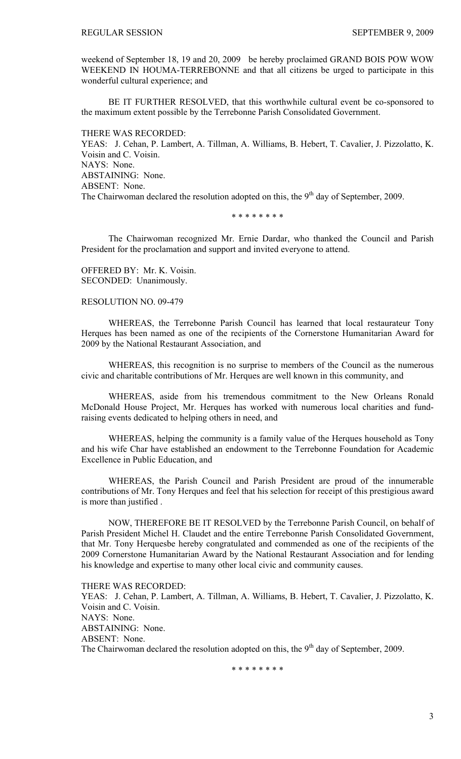weekend of September 18, 19 and 20, 2009 be hereby proclaimed GRAND BOIS POW WOW WEEKEND IN HOUMA-TERREBONNE and that all citizens be urged to participate in this wonderful cultural experience; and

BE IT FURTHER RESOLVED, that this worthwhile cultural event be co-sponsored to the maximum extent possible by the Terrebonne Parish Consolidated Government.

THERE WAS RECORDED: YEAS: J. Cehan, P. Lambert, A. Tillman, A. Williams, B. Hebert, T. Cavalier, J. Pizzolatto, K. Voisin and C. Voisin. NAYS: None. ABSTAINING: None. ABSENT: None. The Chairwoman declared the resolution adopted on this, the  $9<sup>th</sup>$  day of September, 2009.

\* \* \* \* \* \* \* \*

The Chairwoman recognized Mr. Ernie Dardar, who thanked the Council and Parish President for the proclamation and support and invited everyone to attend.

OFFERED BY: Mr. K. Voisin. SECONDED: Unanimously.

# RESOLUTION NO. 09-479

 WHEREAS, the Terrebonne Parish Council has learned that local restaurateur Tony Herques has been named as one of the recipients of the Cornerstone Humanitarian Award for 2009 by the National Restaurant Association, and

WHEREAS, this recognition is no surprise to members of the Council as the numerous civic and charitable contributions of Mr. Herques are well known in this community, and

WHEREAS, aside from his tremendous commitment to the New Orleans Ronald McDonald House Project, Mr. Herques has worked with numerous local charities and fundraising events dedicated to helping others in need, and

WHEREAS, helping the community is a family value of the Herques household as Tony and his wife Char have established an endowment to the Terrebonne Foundation for Academic Excellence in Public Education, and

WHEREAS, the Parish Council and Parish President are proud of the innumerable contributions of Mr. Tony Herques and feel that his selection for receipt of this prestigious award is more than justified .

NOW, THEREFORE BE IT RESOLVED by the Terrebonne Parish Council, on behalf of Parish President Michel H. Claudet and the entire Terrebonne Parish Consolidated Government, that Mr. Tony Herquesbe hereby congratulated and commended as one of the recipients of the 2009 Cornerstone Humanitarian Award by the National Restaurant Association and for lending his knowledge and expertise to many other local civic and community causes.

THERE WAS RECORDED: YEAS: J. Cehan, P. Lambert, A. Tillman, A. Williams, B. Hebert, T. Cavalier, J. Pizzolatto, K. Voisin and C. Voisin. NAYS: None. ABSTAINING: None. ABSENT: None. The Chairwoman declared the resolution adopted on this, the  $9<sup>th</sup>$  day of September, 2009.

\* \* \* \* \* \* \* \*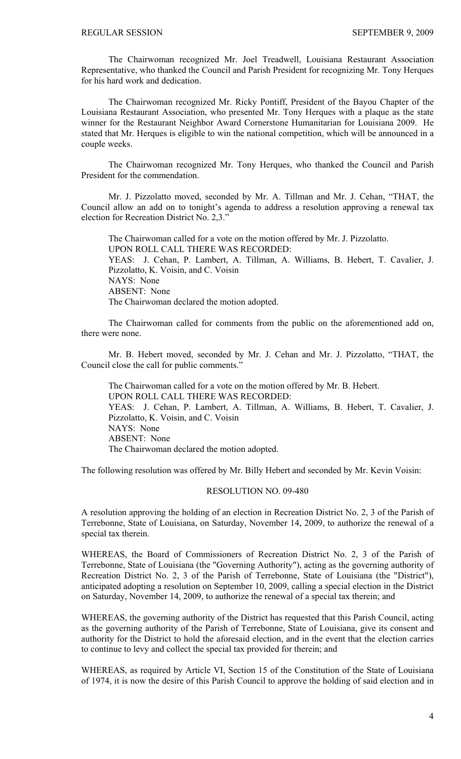The Chairwoman recognized Mr. Joel Treadwell, Louisiana Restaurant Association Representative, who thanked the Council and Parish President for recognizing Mr. Tony Herques for his hard work and dedication.

The Chairwoman recognized Mr. Ricky Pontiff, President of the Bayou Chapter of the Louisiana Restaurant Association, who presented Mr. Tony Herques with a plaque as the state winner for the Restaurant Neighbor Award Cornerstone Humanitarian for Louisiana 2009. He stated that Mr. Herques is eligible to win the national competition, which will be announced in a couple weeks.

The Chairwoman recognized Mr. Tony Herques, who thanked the Council and Parish President for the commendation.

Mr. J. Pizzolatto moved, seconded by Mr. A. Tillman and Mr. J. Cehan, "THAT, the Council allow an add on to tonight's agenda to address a resolution approving a renewal tax election for Recreation District No. 2,3."

The Chairwoman called for a vote on the motion offered by Mr. J. Pizzolatto. UPON ROLL CALL THERE WAS RECORDED: YEAS: J. Cehan, P. Lambert, A. Tillman, A. Williams, B. Hebert, T. Cavalier, J. Pizzolatto, K. Voisin, and C. Voisin NAYS: None ABSENT: None The Chairwoman declared the motion adopted.

The Chairwoman called for comments from the public on the aforementioned add on, there were none.

Mr. B. Hebert moved, seconded by Mr. J. Cehan and Mr. J. Pizzolatto, "THAT, the Council close the call for public comments."

The Chairwoman called for a vote on the motion offered by Mr. B. Hebert. UPON ROLL CALL THERE WAS RECORDED: YEAS: J. Cehan, P. Lambert, A. Tillman, A. Williams, B. Hebert, T. Cavalier, J. Pizzolatto, K. Voisin, and C. Voisin NAYS: None ABSENT: None The Chairwoman declared the motion adopted.

The following resolution was offered by Mr. Billy Hebert and seconded by Mr. Kevin Voisin:

# RESOLUTION NO. 09-480

A resolution approving the holding of an election in Recreation District No. 2, 3 of the Parish of Terrebonne, State of Louisiana, on Saturday, November 14, 2009, to authorize the renewal of a special tax therein.

WHEREAS, the Board of Commissioners of Recreation District No. 2, 3 of the Parish of Terrebonne, State of Louisiana (the "Governing Authority"), acting as the governing authority of Recreation District No. 2, 3 of the Parish of Terrebonne, State of Louisiana (the "District"), anticipated adopting a resolution on September 10, 2009, calling a special election in the District on Saturday, November 14, 2009, to authorize the renewal of a special tax therein; and

WHEREAS, the governing authority of the District has requested that this Parish Council, acting as the governing authority of the Parish of Terrebonne, State of Louisiana, give its consent and authority for the District to hold the aforesaid election, and in the event that the election carries to continue to levy and collect the special tax provided for therein; and

WHEREAS, as required by Article VI, Section 15 of the Constitution of the State of Louisiana of 1974, it is now the desire of this Parish Council to approve the holding of said election and in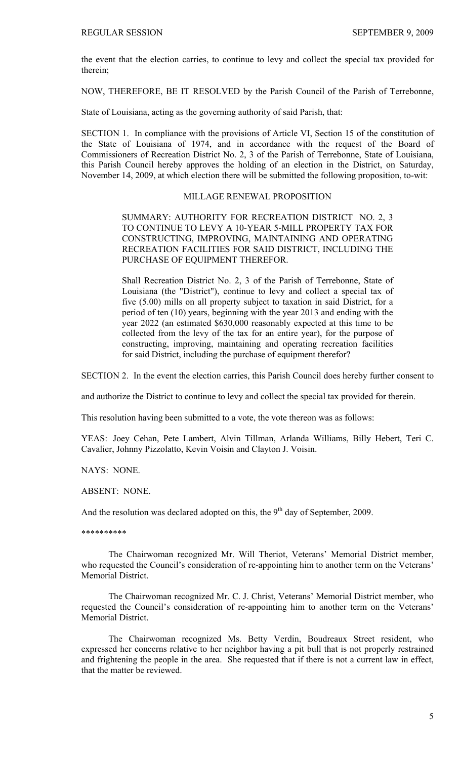the event that the election carries, to continue to levy and collect the special tax provided for therein;

NOW, THEREFORE, BE IT RESOLVED by the Parish Council of the Parish of Terrebonne,

State of Louisiana, acting as the governing authority of said Parish, that:

SECTION 1. In compliance with the provisions of Article VI, Section 15 of the constitution of the State of Louisiana of 1974, and in accordance with the request of the Board of Commissioners of Recreation District No. 2, 3 of the Parish of Terrebonne, State of Louisiana, this Parish Council hereby approves the holding of an election in the District, on Saturday, November 14, 2009, at which election there will be submitted the following proposition, to-wit:

# MILLAGE RENEWAL PROPOSITION

SUMMARY: AUTHORITY FOR RECREATION DISTRICT NO. 2, 3 TO CONTINUE TO LEVY A 10-YEAR 5-MILL PROPERTY TAX FOR CONSTRUCTING, IMPROVING, MAINTAINING AND OPERATING RECREATION FACILITIES FOR SAID DISTRICT, INCLUDING THE PURCHASE OF EQUIPMENT THEREFOR.

Shall Recreation District No. 2, 3 of the Parish of Terrebonne, State of Louisiana (the "District"), continue to levy and collect a special tax of five (5.00) mills on all property subject to taxation in said District, for a period of ten (10) years, beginning with the year 2013 and ending with the year 2022 (an estimated \$630,000 reasonably expected at this time to be collected from the levy of the tax for an entire year), for the purpose of constructing, improving, maintaining and operating recreation facilities for said District, including the purchase of equipment therefor?

SECTION 2. In the event the election carries, this Parish Council does hereby further consent to

and authorize the District to continue to levy and collect the special tax provided for therein.

This resolution having been submitted to a vote, the vote thereon was as follows:

YEAS: Joey Cehan, Pete Lambert, Alvin Tillman, Arlanda Williams, Billy Hebert, Teri C. Cavalier, Johnny Pizzolatto, Kevin Voisin and Clayton J. Voisin.

NAYS: NONE.

ABSENT: NONE.

And the resolution was declared adopted on this, the  $9<sup>th</sup>$  day of September, 2009.

\*\*\*\*\*\*\*\*\*\*

The Chairwoman recognized Mr. Will Theriot, Veterans' Memorial District member, who requested the Council's consideration of re-appointing him to another term on the Veterans' Memorial District.

The Chairwoman recognized Mr. C. J. Christ, Veterans' Memorial District member, who requested the Council's consideration of re-appointing him to another term on the Veterans' Memorial District.

The Chairwoman recognized Ms. Betty Verdin, Boudreaux Street resident, who expressed her concerns relative to her neighbor having a pit bull that is not properly restrained and frightening the people in the area. She requested that if there is not a current law in effect, that the matter be reviewed.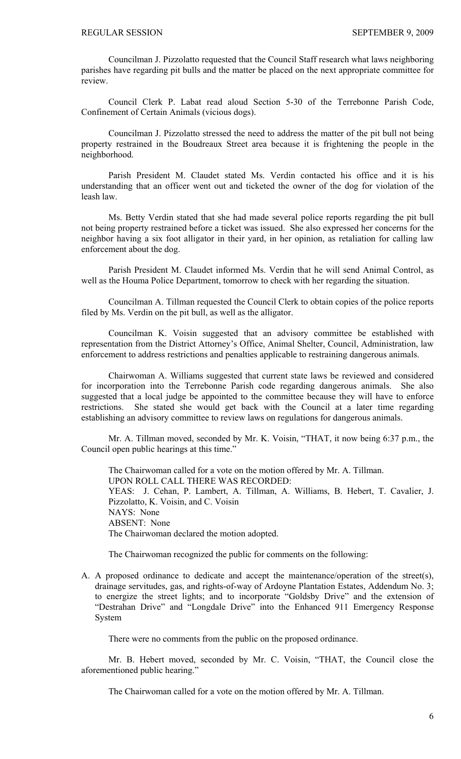Councilman J. Pizzolatto requested that the Council Staff research what laws neighboring parishes have regarding pit bulls and the matter be placed on the next appropriate committee for review.

Council Clerk P. Labat read aloud Section 5-30 of the Terrebonne Parish Code, Confinement of Certain Animals (vicious dogs).

Councilman J. Pizzolatto stressed the need to address the matter of the pit bull not being property restrained in the Boudreaux Street area because it is frightening the people in the neighborhood.

Parish President M. Claudet stated Ms. Verdin contacted his office and it is his understanding that an officer went out and ticketed the owner of the dog for violation of the leash law.

Ms. Betty Verdin stated that she had made several police reports regarding the pit bull not being property restrained before a ticket was issued. She also expressed her concerns for the neighbor having a six foot alligator in their yard, in her opinion, as retaliation for calling law enforcement about the dog.

Parish President M. Claudet informed Ms. Verdin that he will send Animal Control, as well as the Houma Police Department, tomorrow to check with her regarding the situation.

Councilman A. Tillman requested the Council Clerk to obtain copies of the police reports filed by Ms. Verdin on the pit bull, as well as the alligator.

Councilman K. Voisin suggested that an advisory committee be established with representation from the District Attorney's Office, Animal Shelter, Council, Administration, law enforcement to address restrictions and penalties applicable to restraining dangerous animals.

Chairwoman A. Williams suggested that current state laws be reviewed and considered for incorporation into the Terrebonne Parish code regarding dangerous animals. She also suggested that a local judge be appointed to the committee because they will have to enforce restrictions. She stated she would get back with the Council at a later time regarding establishing an advisory committee to review laws on regulations for dangerous animals.

 Mr. A. Tillman moved, seconded by Mr. K. Voisin, "THAT, it now being 6:37 p.m., the Council open public hearings at this time."

 The Chairwoman called for a vote on the motion offered by Mr. A. Tillman. UPON ROLL CALL THERE WAS RECORDED: YEAS: J. Cehan, P. Lambert, A. Tillman, A. Williams, B. Hebert, T. Cavalier, J. Pizzolatto, K. Voisin, and C. Voisin NAYS: None ABSENT: None The Chairwoman declared the motion adopted.

The Chairwoman recognized the public for comments on the following:

A. A proposed ordinance to dedicate and accept the maintenance/operation of the street(s), drainage servitudes, gas, and rights-of-way of Ardoyne Plantation Estates, Addendum No. 3; to energize the street lights; and to incorporate "Goldsby Drive" and the extension of "Destrahan Drive" and "Longdale Drive" into the Enhanced 911 Emergency Response System

There were no comments from the public on the proposed ordinance.

 Mr. B. Hebert moved, seconded by Mr. C. Voisin, "THAT, the Council close the aforementioned public hearing."

The Chairwoman called for a vote on the motion offered by Mr. A. Tillman.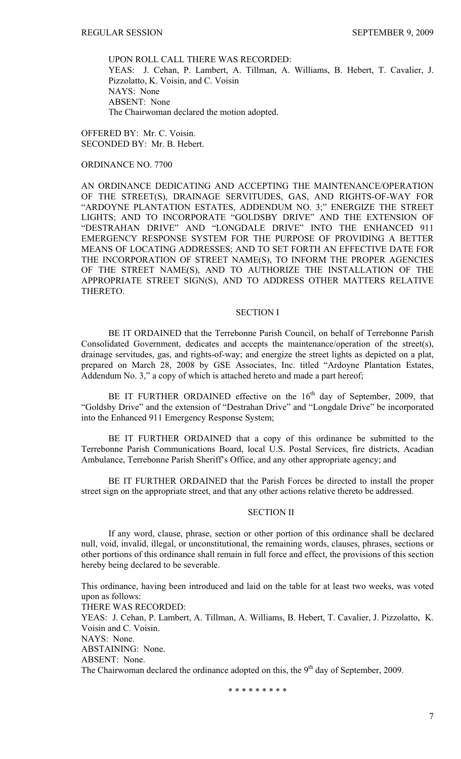UPON ROLL CALL THERE WAS RECORDED: YEAS: J. Cehan, P. Lambert, A. Tillman, A. Williams, B. Hebert, T. Cavalier, J. Pizzolatto, K. Voisin, and C. Voisin NAYS: None ABSENT: None The Chairwoman declared the motion adopted.

OFFERED BY: Mr. C. Voisin. SECONDED BY: Mr. B. Hebert.

## ORDINANCE NO. 7700

AN ORDINANCE DEDICATING AND ACCEPTING THE MAINTENANCE/OPERATION OF THE STREET(S), DRAINAGE SERVITUDES, GAS, AND RIGHTS-OF-WAY FOR "ARDOYNE PLANTATION ESTATES, ADDENDUM NO. 3;" ENERGIZE THE STREET LIGHTS; AND TO INCORPORATE "GOLDSBY DRIVE" AND THE EXTENSION OF "DESTRAHAN DRIVE" AND "LONGDALE DRIVE" INTO THE ENHANCED 911 EMERGENCY RESPONSE SYSTEM FOR THE PURPOSE OF PROVIDING A BETTER MEANS OF LOCATING ADDRESSES; AND TO SET FORTH AN EFFECTIVE DATE FOR THE INCORPORATION OF STREET NAME(S), TO INFORM THE PROPER AGENCIES OF THE STREET NAME(S), AND TO AUTHORIZE THE INSTALLATION OF THE APPROPRIATE STREET SIGN(S), AND TO ADDRESS OTHER MATTERS RELATIVE THERETO.

# SECTION I

BE IT ORDAINED that the Terrebonne Parish Council, on behalf of Terrebonne Parish Consolidated Government, dedicates and accepts the maintenance/operation of the street(s), drainage servitudes, gas, and rights-of-way; and energize the street lights as depicted on a plat, prepared on March 28, 2008 by GSE Associates, Inc. titled "Ardoyne Plantation Estates, Addendum No. 3," a copy of which is attached hereto and made a part hereof;

BE IT FURTHER ORDAINED effective on the  $16<sup>th</sup>$  day of September, 2009, that "Goldsby Drive" and the extension of "Destrahan Drive" and "Longdale Drive" be incorporated into the Enhanced 911 Emergency Response System;

BE IT FURTHER ORDAINED that a copy of this ordinance be submitted to the Terrebonne Parish Communications Board, local U.S. Postal Services, fire districts, Acadian Ambulance, Terrebonne Parish Sheriff's Office, and any other appropriate agency; and

BE IT FURTHER ORDAINED that the Parish Forces be directed to install the proper street sign on the appropriate street, and that any other actions relative thereto be addressed.

## SECTION II

If any word, clause, phrase, section or other portion of this ordinance shall be declared null, void, invalid, illegal, or unconstitutional, the remaining words, clauses, phrases, sections or other portions of this ordinance shall remain in full force and effect, the provisions of this section hereby being declared to be severable.

This ordinance, having been introduced and laid on the table for at least two weeks, was voted upon as follows: THERE WAS RECORDED: YEAS: J. Cehan, P. Lambert, A. Tillman, A. Williams, B. Hebert, T. Cavalier, J. Pizzolatto, K. Voisin and C. Voisin.

NAYS: None.

ABSTAINING: None.

ABSENT: None.

The Chairwoman declared the ordinance adopted on this, the  $9<sup>th</sup>$  day of September, 2009.

\* \* \* \* \* \* \* \* \*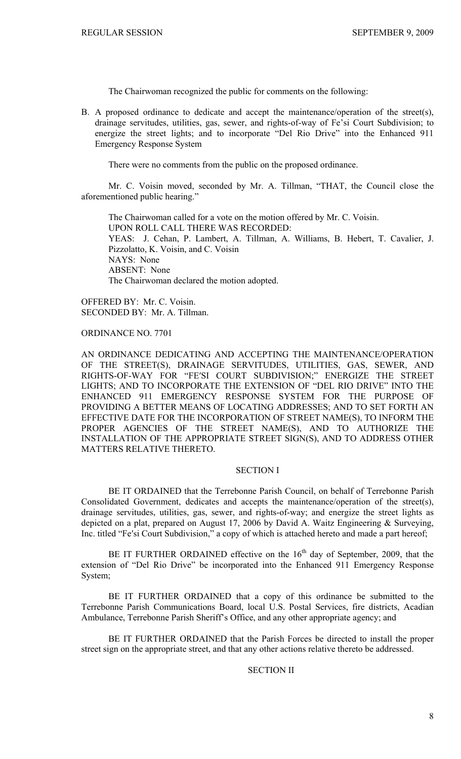The Chairwoman recognized the public for comments on the following:

B. A proposed ordinance to dedicate and accept the maintenance/operation of the street(s), drainage servitudes, utilities, gas, sewer, and rights-of-way of Fe'si Court Subdivision; to energize the street lights; and to incorporate "Del Rio Drive" into the Enhanced 911 Emergency Response System

There were no comments from the public on the proposed ordinance.

 Mr. C. Voisin moved, seconded by Mr. A. Tillman, "THAT, the Council close the aforementioned public hearing."

 The Chairwoman called for a vote on the motion offered by Mr. C. Voisin. UPON ROLL CALL THERE WAS RECORDED: YEAS: J. Cehan, P. Lambert, A. Tillman, A. Williams, B. Hebert, T. Cavalier, J. Pizzolatto, K. Voisin, and C. Voisin NAYS: None ABSENT: None The Chairwoman declared the motion adopted.

OFFERED BY: Mr. C. Voisin. SECONDED BY: Mr. A. Tillman.

ORDINANCE NO. 7701

AN ORDINANCE DEDICATING AND ACCEPTING THE MAINTENANCE/OPERATION OF THE STREET(S), DRAINAGE SERVITUDES, UTILITIES, GAS, SEWER, AND RIGHTS-OF-WAY FOR "FE′SI COURT SUBDIVISION;" ENERGIZE THE STREET LIGHTS; AND TO INCORPORATE THE EXTENSION OF "DEL RIO DRIVE" INTO THE ENHANCED 911 EMERGENCY RESPONSE SYSTEM FOR THE PURPOSE OF PROVIDING A BETTER MEANS OF LOCATING ADDRESSES; AND TO SET FORTH AN EFFECTIVE DATE FOR THE INCORPORATION OF STREET NAME(S), TO INFORM THE PROPER AGENCIES OF THE STREET NAME(S), AND TO AUTHORIZE THE INSTALLATION OF THE APPROPRIATE STREET SIGN(S), AND TO ADDRESS OTHER MATTERS RELATIVE THERETO.

# SECTION I

BE IT ORDAINED that the Terrebonne Parish Council, on behalf of Terrebonne Parish Consolidated Government, dedicates and accepts the maintenance/operation of the street(s), drainage servitudes, utilities, gas, sewer, and rights-of-way; and energize the street lights as depicted on a plat, prepared on August 17, 2006 by David A. Waitz Engineering & Surveying, Inc. titled "Fe′si Court Subdivision," a copy of which is attached hereto and made a part hereof;

BE IT FURTHER ORDAINED effective on the  $16<sup>th</sup>$  day of September, 2009, that the extension of "Del Rio Drive" be incorporated into the Enhanced 911 Emergency Response System;

BE IT FURTHER ORDAINED that a copy of this ordinance be submitted to the Terrebonne Parish Communications Board, local U.S. Postal Services, fire districts, Acadian Ambulance, Terrebonne Parish Sheriff's Office, and any other appropriate agency; and

BE IT FURTHER ORDAINED that the Parish Forces be directed to install the proper street sign on the appropriate street, and that any other actions relative thereto be addressed.

#### SECTION II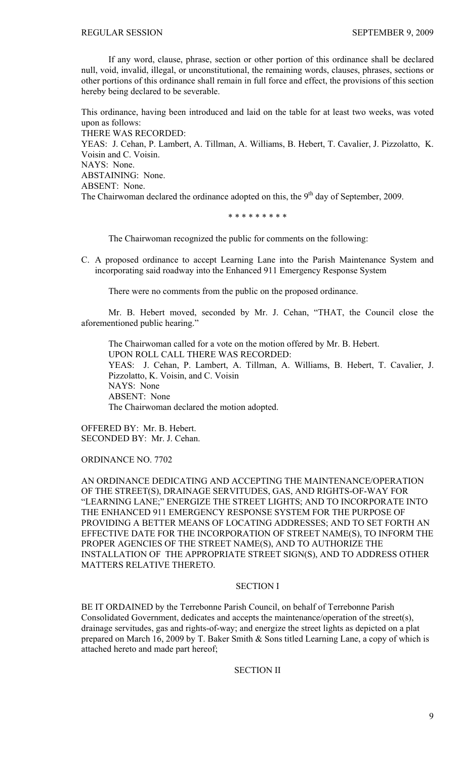If any word, clause, phrase, section or other portion of this ordinance shall be declared null, void, invalid, illegal, or unconstitutional, the remaining words, clauses, phrases, sections or other portions of this ordinance shall remain in full force and effect, the provisions of this section hereby being declared to be severable.

This ordinance, having been introduced and laid on the table for at least two weeks, was voted upon as follows: THERE WAS RECORDED: YEAS: J. Cehan, P. Lambert, A. Tillman, A. Williams, B. Hebert, T. Cavalier, J. Pizzolatto, K. Voisin and C. Voisin. NAYS: None. ABSTAINING: None. ABSENT: None. The Chairwoman declared the ordinance adopted on this, the  $9<sup>th</sup>$  day of September, 2009.

\* \* \* \* \* \* \* \* \*

The Chairwoman recognized the public for comments on the following:

C. A proposed ordinance to accept Learning Lane into the Parish Maintenance System and incorporating said roadway into the Enhanced 911 Emergency Response System

There were no comments from the public on the proposed ordinance.

 Mr. B. Hebert moved, seconded by Mr. J. Cehan, "THAT, the Council close the aforementioned public hearing."

 The Chairwoman called for a vote on the motion offered by Mr. B. Hebert. UPON ROLL CALL THERE WAS RECORDED: YEAS: J. Cehan, P. Lambert, A. Tillman, A. Williams, B. Hebert, T. Cavalier, J. Pizzolatto, K. Voisin, and C. Voisin NAYS: None ABSENT: None The Chairwoman declared the motion adopted.

OFFERED BY: Mr. B. Hebert. SECONDED BY: Mr. J. Cehan.

ORDINANCE NO. 7702

AN ORDINANCE DEDICATING AND ACCEPTING THE MAINTENANCE/OPERATION OF THE STREET(S), DRAINAGE SERVITUDES, GAS, AND RIGHTS-OF-WAY FOR "LEARNING LANE;" ENERGIZE THE STREET LIGHTS; AND TO INCORPORATE INTO THE ENHANCED 911 EMERGENCY RESPONSE SYSTEM FOR THE PURPOSE OF PROVIDING A BETTER MEANS OF LOCATING ADDRESSES; AND TO SET FORTH AN EFFECTIVE DATE FOR THE INCORPORATION OF STREET NAME(S), TO INFORM THE PROPER AGENCIES OF THE STREET NAME(S), AND TO AUTHORIZE THE INSTALLATION OF THE APPROPRIATE STREET SIGN(S), AND TO ADDRESS OTHER MATTERS RELATIVE THERETO.

# SECTION I

BE IT ORDAINED by the Terrebonne Parish Council, on behalf of Terrebonne Parish Consolidated Government, dedicates and accepts the maintenance/operation of the street(s), drainage servitudes, gas and rights-of-way; and energize the street lights as depicted on a plat prepared on March 16, 2009 by T. Baker Smith & Sons titled Learning Lane, a copy of which is attached hereto and made part hereof;

SECTION II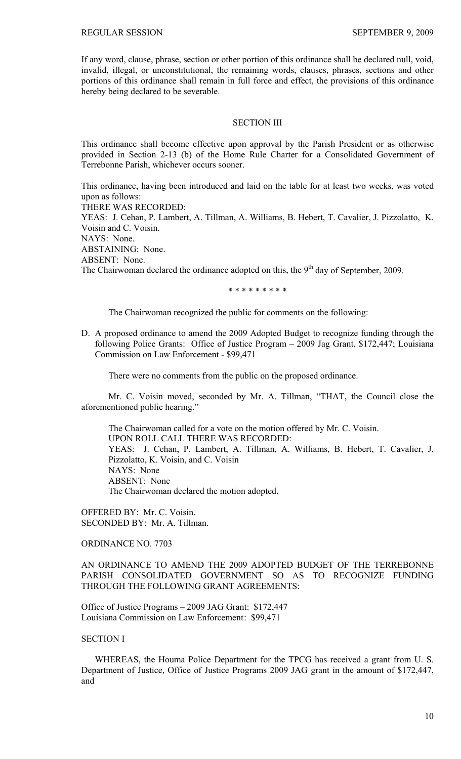If any word, clause, phrase, section or other portion of this ordinance shall be declared null, void, invalid, illegal, or unconstitutional, the remaining words, clauses, phrases, sections and other portions of this ordinance shall remain in full force and effect, the provisions of this ordinance hereby being declared to be severable.

# SECTION III

This ordinance shall become effective upon approval by the Parish President or as otherwise provided in Section 2-13 (b) of the Home Rule Charter for a Consolidated Government of Terrebonne Parish, whichever occurs sooner.

This ordinance, having been introduced and laid on the table for at least two weeks, was voted upon as follows:

THERE WAS RECORDED:

YEAS: J. Cehan, P. Lambert, A. Tillman, A. Williams, B. Hebert, T. Cavalier, J. Pizzolatto, K. Voisin and C. Voisin. NAYS: None. ABSTAINING: None. ABSENT: None. The Chairwoman declared the ordinance adopted on this, the  $9<sup>th</sup>$  day of September, 2009.

\* \* \* \* \* \* \* \* \*

The Chairwoman recognized the public for comments on the following:

D. A proposed ordinance to amend the 2009 Adopted Budget to recognize funding through the following Police Grants: Office of Justice Program – 2009 Jag Grant, \$172,447; Louisiana Commission on Law Enforcement - \$99,471

There were no comments from the public on the proposed ordinance.

 Mr. C. Voisin moved, seconded by Mr. A. Tillman, "THAT, the Council close the aforementioned public hearing."

 The Chairwoman called for a vote on the motion offered by Mr. C. Voisin. UPON ROLL CALL THERE WAS RECORDED: YEAS: J. Cehan, P. Lambert, A. Tillman, A. Williams, B. Hebert, T. Cavalier, J. Pizzolatto, K. Voisin, and C. Voisin NAYS: None ABSENT: None The Chairwoman declared the motion adopted.

OFFERED BY: Mr. C. Voisin. SECONDED BY: Mr. A. Tillman.

ORDINANCE NO. 7703

AN ORDINANCE TO AMEND THE 2009 ADOPTED BUDGET OF THE TERREBONNE PARISH CONSOLIDATED GOVERNMENT SO AS TO RECOGNIZE FUNDING THROUGH THE FOLLOWING GRANT AGREEMENTS:

Office of Justice Programs – 2009 JAG Grant: \$172,447 Louisiana Commission on Law Enforcement: \$99,471

## SECTION I

 WHEREAS, the Houma Police Department for the TPCG has received a grant from U. S. Department of Justice, Office of Justice Programs 2009 JAG grant in the amount of \$172,447, and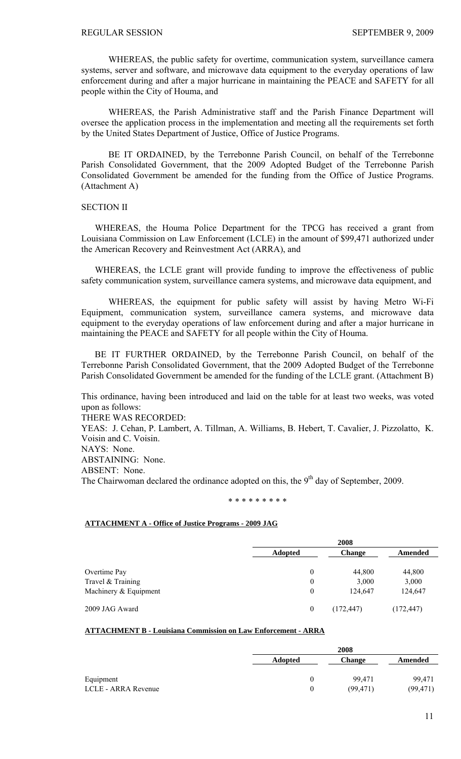WHEREAS, the public safety for overtime, communication system, surveillance camera systems, server and software, and microwave data equipment to the everyday operations of law enforcement during and after a major hurricane in maintaining the PEACE and SAFETY for all people within the City of Houma, and

 WHEREAS, the Parish Administrative staff and the Parish Finance Department will oversee the application process in the implementation and meeting all the requirements set forth by the United States Department of Justice, Office of Justice Programs.

BE IT ORDAINED, by the Terrebonne Parish Council, on behalf of the Terrebonne Parish Consolidated Government, that the 2009 Adopted Budget of the Terrebonne Parish Consolidated Government be amended for the funding from the Office of Justice Programs. (Attachment A)

# SECTION II

 WHEREAS, the Houma Police Department for the TPCG has received a grant from Louisiana Commission on Law Enforcement (LCLE) in the amount of \$99,471 authorized under the American Recovery and Reinvestment Act (ARRA), and

 WHEREAS, the LCLE grant will provide funding to improve the effectiveness of public safety communication system, surveillance camera systems, and microwave data equipment, and

WHEREAS, the equipment for public safety will assist by having Metro Wi-Fi Equipment, communication system, surveillance camera systems, and microwave data equipment to the everyday operations of law enforcement during and after a major hurricane in maintaining the PEACE and SAFETY for all people within the City of Houma.

 BE IT FURTHER ORDAINED, by the Terrebonne Parish Council, on behalf of the Terrebonne Parish Consolidated Government, that the 2009 Adopted Budget of the Terrebonne Parish Consolidated Government be amended for the funding of the LCLE grant. (Attachment B)

This ordinance, having been introduced and laid on the table for at least two weeks, was voted upon as follows:

THERE WAS RECORDED:

YEAS: J. Cehan, P. Lambert, A. Tillman, A. Williams, B. Hebert, T. Cavalier, J. Pizzolatto, K. Voisin and C. Voisin.

NAYS: None.

ABSTAINING: None.

ABSENT: None.

The Chairwoman declared the ordinance adopted on this, the  $9<sup>th</sup>$  day of September, 2009.

#### \* \* \* \* \* \* \* \* \*

# **ATTACHMENT A - Office of Justice Programs - 2009 JAG**

|                       |                  | 2008          |            |  |
|-----------------------|------------------|---------------|------------|--|
|                       | <b>Adopted</b>   | <b>Change</b> | Amended    |  |
| Overtime Pay          | $\theta$         | 44,800        | 44,800     |  |
| Travel & Training     | $\mathbf{0}$     | 3,000         | 3,000      |  |
| Machinery & Equipment | $\theta$         | 124,647       | 124,647    |  |
| 2009 JAG Award        | $\boldsymbol{0}$ | (172, 447)    | (172, 447) |  |

# **ATTACHMENT B - Louisiana Commission on Law Enforcement - ARRA**

|                     | 2008           |               |           |
|---------------------|----------------|---------------|-----------|
|                     | <b>Adopted</b> | <b>Change</b> | Amended   |
|                     |                |               |           |
| Equipment           | $_{0}$         | 99.471        | 99.471    |
| LCLE - ARRA Revenue | 0              | (99.471)      | (99, 471) |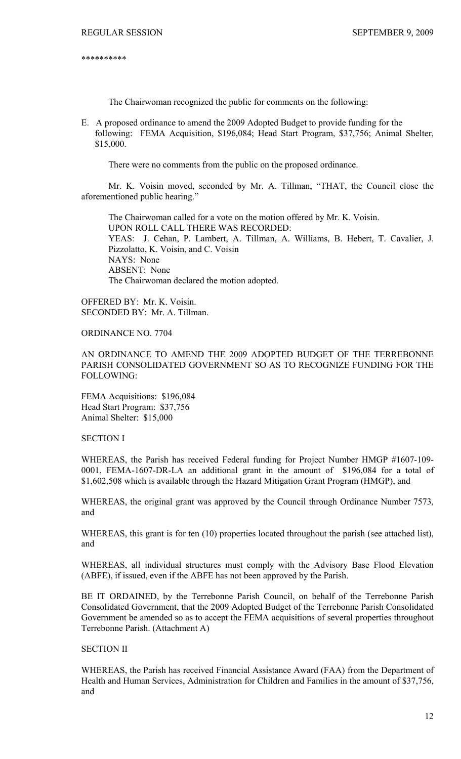\*\*\*\*\*\*\*\*\*\*

The Chairwoman recognized the public for comments on the following:

E. A proposed ordinance to amend the 2009 Adopted Budget to provide funding for the following: FEMA Acquisition, \$196,084; Head Start Program, \$37,756; Animal Shelter, \$15,000.

There were no comments from the public on the proposed ordinance.

 Mr. K. Voisin moved, seconded by Mr. A. Tillman, "THAT, the Council close the aforementioned public hearing."

 The Chairwoman called for a vote on the motion offered by Mr. K. Voisin. UPON ROLL CALL THERE WAS RECORDED: YEAS: J. Cehan, P. Lambert, A. Tillman, A. Williams, B. Hebert, T. Cavalier, J. Pizzolatto, K. Voisin, and C. Voisin NAYS: None ABSENT: None The Chairwoman declared the motion adopted.

OFFERED BY: Mr. K. Voisin. SECONDED BY: Mr. A. Tillman.

ORDINANCE NO. 7704

AN ORDINANCE TO AMEND THE 2009 ADOPTED BUDGET OF THE TERREBONNE PARISH CONSOLIDATED GOVERNMENT SO AS TO RECOGNIZE FUNDING FOR THE FOLLOWING:

FEMA Acquisitions: \$196,084 Head Start Program: \$37,756 Animal Shelter: \$15,000

SECTION I

WHEREAS, the Parish has received Federal funding for Project Number HMGP #1607-109- 0001, FEMA-1607-DR-LA an additional grant in the amount of \$196,084 for a total of \$1,602,508 which is available through the Hazard Mitigation Grant Program (HMGP), and

WHEREAS, the original grant was approved by the Council through Ordinance Number 7573, and

WHEREAS, this grant is for ten (10) properties located throughout the parish (see attached list), and

WHEREAS, all individual structures must comply with the Advisory Base Flood Elevation (ABFE), if issued, even if the ABFE has not been approved by the Parish.

BE IT ORDAINED, by the Terrebonne Parish Council, on behalf of the Terrebonne Parish Consolidated Government, that the 2009 Adopted Budget of the Terrebonne Parish Consolidated Government be amended so as to accept the FEMA acquisitions of several properties throughout Terrebonne Parish. (Attachment A)

# SECTION II

WHEREAS, the Parish has received Financial Assistance Award (FAA) from the Department of Health and Human Services, Administration for Children and Families in the amount of \$37,756, and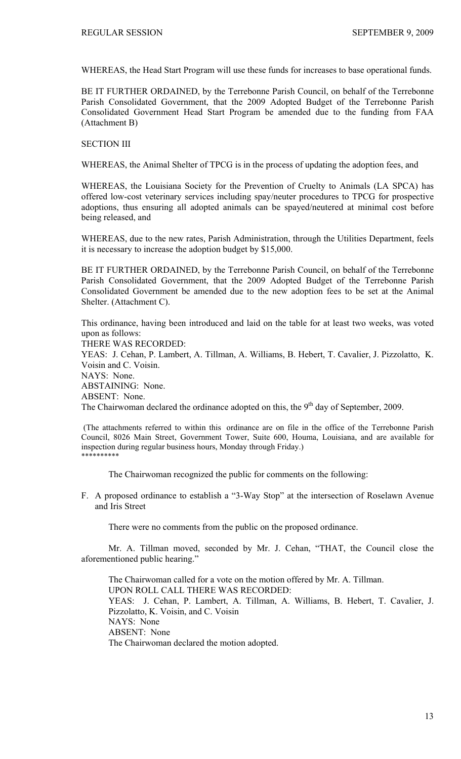WHEREAS, the Head Start Program will use these funds for increases to base operational funds.

BE IT FURTHER ORDAINED, by the Terrebonne Parish Council, on behalf of the Terrebonne Parish Consolidated Government, that the 2009 Adopted Budget of the Terrebonne Parish Consolidated Government Head Start Program be amended due to the funding from FAA (Attachment B)

SECTION III

WHEREAS, the Animal Shelter of TPCG is in the process of updating the adoption fees, and

WHEREAS, the Louisiana Society for the Prevention of Cruelty to Animals (LA SPCA) has offered low-cost veterinary services including spay/neuter procedures to TPCG for prospective adoptions, thus ensuring all adopted animals can be spayed/neutered at minimal cost before being released, and

WHEREAS, due to the new rates, Parish Administration, through the Utilities Department, feels it is necessary to increase the adoption budget by \$15,000.

BE IT FURTHER ORDAINED, by the Terrebonne Parish Council, on behalf of the Terrebonne Parish Consolidated Government, that the 2009 Adopted Budget of the Terrebonne Parish Consolidated Government be amended due to the new adoption fees to be set at the Animal Shelter. (Attachment C).

This ordinance, having been introduced and laid on the table for at least two weeks, was voted upon as follows: THERE WAS RECORDED: YEAS: J. Cehan, P. Lambert, A. Tillman, A. Williams, B. Hebert, T. Cavalier, J. Pizzolatto, K. Voisin and C. Voisin. NAYS: None. ABSTAINING: None. ABSENT: None. The Chairwoman declared the ordinance adopted on this, the 9<sup>th</sup> day of September, 2009.

 (The attachments referred to within this ordinance are on file in the office of the Terrebonne Parish Council, 8026 Main Street, Government Tower, Suite 600, Houma, Louisiana, and are available for inspection during regular business hours, Monday through Friday.) \*\*\*\*\*\*\*\*\*\*

The Chairwoman recognized the public for comments on the following:

F. A proposed ordinance to establish a "3-Way Stop" at the intersection of Roselawn Avenue and Iris Street

There were no comments from the public on the proposed ordinance.

 Mr. A. Tillman moved, seconded by Mr. J. Cehan, "THAT, the Council close the aforementioned public hearing."

 The Chairwoman called for a vote on the motion offered by Mr. A. Tillman. UPON ROLL CALL THERE WAS RECORDED: YEAS: J. Cehan, P. Lambert, A. Tillman, A. Williams, B. Hebert, T. Cavalier, J. Pizzolatto, K. Voisin, and C. Voisin NAYS: None ABSENT: None The Chairwoman declared the motion adopted.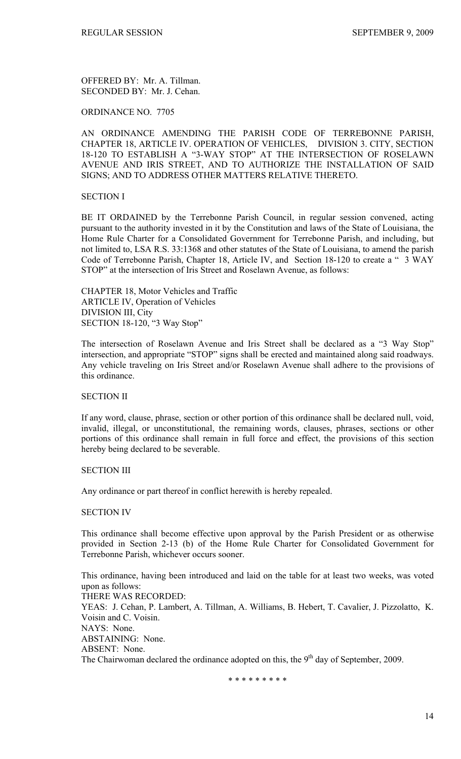OFFERED BY: Mr. A. Tillman. SECONDED BY: Mr. J. Cehan.

# ORDINANCE NO. 7705

AN ORDINANCE AMENDING THE PARISH CODE OF TERREBONNE PARISH, CHAPTER 18, ARTICLE IV. OPERATION OF VEHICLES, DIVISION 3. CITY, SECTION 18-120 TO ESTABLISH A "3-WAY STOP" AT THE INTERSECTION OF ROSELAWN AVENUE AND IRIS STREET, AND TO AUTHORIZE THE INSTALLATION OF SAID SIGNS; AND TO ADDRESS OTHER MATTERS RELATIVE THERETO.

# SECTION I

BE IT ORDAINED by the Terrebonne Parish Council, in regular session convened, acting pursuant to the authority invested in it by the Constitution and laws of the State of Louisiana, the Home Rule Charter for a Consolidated Government for Terrebonne Parish, and including, but not limited to, LSA R.S. 33:1368 and other statutes of the State of Louisiana, to amend the parish Code of Terrebonne Parish, Chapter 18, Article IV, and Section 18-120 to create a " 3 WAY STOP" at the intersection of Iris Street and Roselawn Avenue, as follows:

CHAPTER 18, Motor Vehicles and Traffic ARTICLE IV, Operation of Vehicles DIVISION III, City SECTION 18-120, "3 Way Stop"

The intersection of Roselawn Avenue and Iris Street shall be declared as a "3 Way Stop" intersection, and appropriate "STOP" signs shall be erected and maintained along said roadways. Any vehicle traveling on Iris Street and/or Roselawn Avenue shall adhere to the provisions of this ordinance.

# SECTION II

If any word, clause, phrase, section or other portion of this ordinance shall be declared null, void, invalid, illegal, or unconstitutional, the remaining words, clauses, phrases, sections or other portions of this ordinance shall remain in full force and effect, the provisions of this section hereby being declared to be severable.

## SECTION III

Any ordinance or part thereof in conflict herewith is hereby repealed.

### SECTION IV

This ordinance shall become effective upon approval by the Parish President or as otherwise provided in Section 2-13 (b) of the Home Rule Charter for Consolidated Government for Terrebonne Parish, whichever occurs sooner.

This ordinance, having been introduced and laid on the table for at least two weeks, was voted upon as follows: THERE WAS RECORDED: YEAS: J. Cehan, P. Lambert, A. Tillman, A. Williams, B. Hebert, T. Cavalier, J. Pizzolatto, K. Voisin and C. Voisin. NAYS: None. ABSTAINING: None. ABSENT: None. The Chairwoman declared the ordinance adopted on this, the  $9<sup>th</sup>$  day of September, 2009.

\* \* \* \* \* \* \* \* \*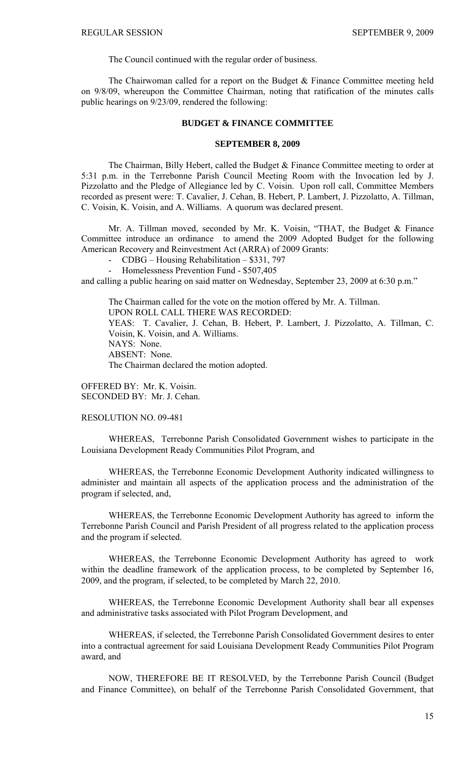The Council continued with the regular order of business.

 The Chairwoman called for a report on the Budget & Finance Committee meeting held on 9/8/09, whereupon the Committee Chairman, noting that ratification of the minutes calls public hearings on 9/23/09, rendered the following:

## **BUDGET & FINANCE COMMITTEE**

#### **SEPTEMBER 8, 2009**

 The Chairman, Billy Hebert, called the Budget & Finance Committee meeting to order at 5:31 p.m. in the Terrebonne Parish Council Meeting Room with the Invocation led by J. Pizzolatto and the Pledge of Allegiance led by C. Voisin. Upon roll call, Committee Members recorded as present were: T. Cavalier, J. Cehan, B. Hebert, P. Lambert, J. Pizzolatto, A. Tillman, C. Voisin, K. Voisin, and A. Williams. A quorum was declared present.

Mr. A. Tillman moved, seconded by Mr. K. Voisin, "THAT, the Budget & Finance Committee introduce an ordinance to amend the 2009 Adopted Budget for the following American Recovery and Reinvestment Act (ARRA) of 2009 Grants:

- CDBG – Housing Rehabilitation – \$331, 797

- Homelessness Prevention Fund - \$507,405

and calling a public hearing on said matter on Wednesday, September 23, 2009 at 6:30 p.m."

The Chairman called for the vote on the motion offered by Mr. A. Tillman. UPON ROLL CALL THERE WAS RECORDED: YEAS: T. Cavalier, J. Cehan, B. Hebert, P. Lambert, J. Pizzolatto, A. Tillman, C. Voisin, K. Voisin, and A. Williams. NAYS: None. ABSENT: None. The Chairman declared the motion adopted.

OFFERED BY: Mr. K. Voisin. SECONDED BY: Mr. J. Cehan.

RESOLUTION NO. 09-481

WHEREAS, Terrebonne Parish Consolidated Government wishes to participate in the Louisiana Development Ready Communities Pilot Program, and

WHEREAS, the Terrebonne Economic Development Authority indicated willingness to administer and maintain all aspects of the application process and the administration of the program if selected, and,

WHEREAS, the Terrebonne Economic Development Authority has agreed to inform the Terrebonne Parish Council and Parish President of all progress related to the application process and the program if selected.

WHEREAS, the Terrebonne Economic Development Authority has agreed to work within the deadline framework of the application process, to be completed by September 16, 2009, and the program, if selected, to be completed by March 22, 2010.

WHEREAS, the Terrebonne Economic Development Authority shall bear all expenses and administrative tasks associated with Pilot Program Development, and

WHEREAS, if selected, the Terrebonne Parish Consolidated Government desires to enter into a contractual agreement for said Louisiana Development Ready Communities Pilot Program award, and

NOW, THEREFORE BE IT RESOLVED, by the Terrebonne Parish Council (Budget and Finance Committee), on behalf of the Terrebonne Parish Consolidated Government, that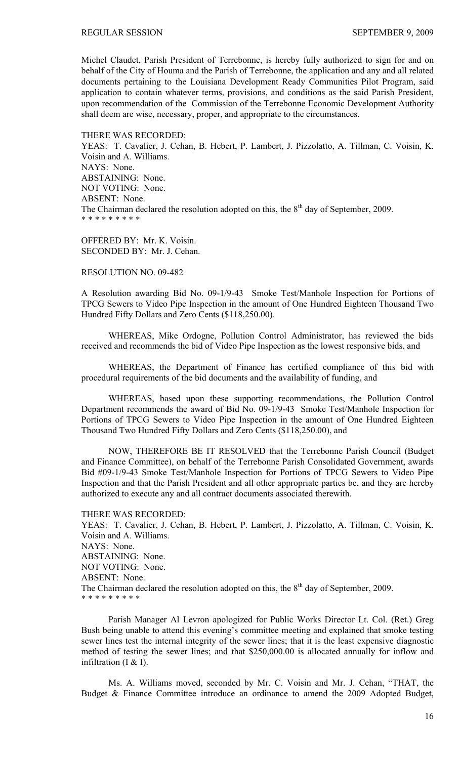Michel Claudet, Parish President of Terrebonne, is hereby fully authorized to sign for and on behalf of the City of Houma and the Parish of Terrebonne, the application and any and all related documents pertaining to the Louisiana Development Ready Communities Pilot Program, said application to contain whatever terms, provisions, and conditions as the said Parish President, upon recommendation of the Commission of the Terrebonne Economic Development Authority shall deem are wise, necessary, proper, and appropriate to the circumstances.

THERE WAS RECORDED: YEAS: T. Cavalier, J. Cehan, B. Hebert, P. Lambert, J. Pizzolatto, A. Tillman, C. Voisin, K. Voisin and A. Williams. NAYS: None. ABSTAINING: None. NOT VOTING: None. ABSENT: None. The Chairman declared the resolution adopted on this, the  $8<sup>th</sup>$  day of September, 2009. \* \* \* \* \* \* \* \* \*

OFFERED BY: Mr. K. Voisin. SECONDED BY: Mr. J. Cehan.

# RESOLUTION NO. 09-482

A Resolution awarding Bid No. 09-1/9-43 Smoke Test/Manhole Inspection for Portions of TPCG Sewers to Video Pipe Inspection in the amount of One Hundred Eighteen Thousand Two Hundred Fifty Dollars and Zero Cents (\$118,250.00).

 WHEREAS, Mike Ordogne, Pollution Control Administrator, has reviewed the bids received and recommends the bid of Video Pipe Inspection as the lowest responsive bids, and

 WHEREAS, the Department of Finance has certified compliance of this bid with procedural requirements of the bid documents and the availability of funding, and

 WHEREAS, based upon these supporting recommendations, the Pollution Control Department recommends the award of Bid No. 09-1/9-43 Smoke Test/Manhole Inspection for Portions of TPCG Sewers to Video Pipe Inspection in the amount of One Hundred Eighteen Thousand Two Hundred Fifty Dollars and Zero Cents (\$118,250.00), and

 NOW, THEREFORE BE IT RESOLVED that the Terrebonne Parish Council (Budget and Finance Committee), on behalf of the Terrebonne Parish Consolidated Government, awards Bid #09-1/9-43 Smoke Test/Manhole Inspection for Portions of TPCG Sewers to Video Pipe Inspection and that the Parish President and all other appropriate parties be, and they are hereby authorized to execute any and all contract documents associated therewith.

THERE WAS RECORDED: YEAS: T. Cavalier, J. Cehan, B. Hebert, P. Lambert, J. Pizzolatto, A. Tillman, C. Voisin, K. Voisin and A. Williams. NAYS: None. ABSTAINING: None. NOT VOTING: None. ABSENT: None. The Chairman declared the resolution adopted on this, the  $8<sup>th</sup>$  day of September, 2009. \* \* \* \* \* \* \* \* \*

 Parish Manager Al Levron apologized for Public Works Director Lt. Col. (Ret.) Greg Bush being unable to attend this evening's committee meeting and explained that smoke testing sewer lines test the internal integrity of the sewer lines; that it is the least expensive diagnostic method of testing the sewer lines; and that \$250,000.00 is allocated annually for inflow and infiltration (I & I).

 Ms. A. Williams moved, seconded by Mr. C. Voisin and Mr. J. Cehan, "THAT, the Budget & Finance Committee introduce an ordinance to amend the 2009 Adopted Budget,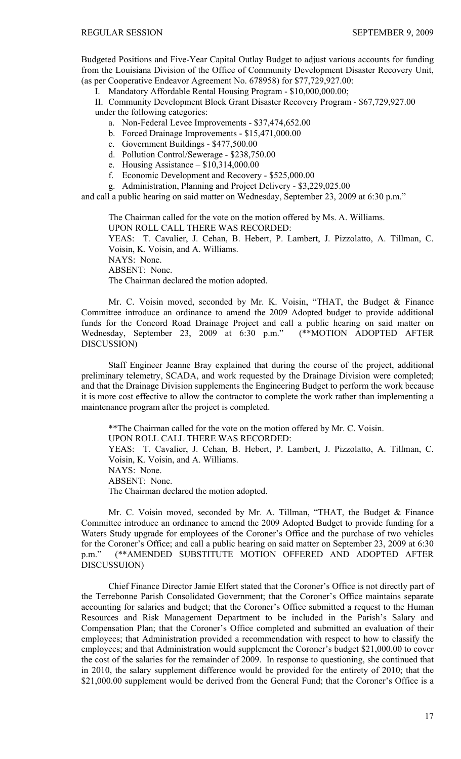Budgeted Positions and Five-Year Capital Outlay Budget to adjust various accounts for funding from the Louisiana Division of the Office of Community Development Disaster Recovery Unit, (as per Cooperative Endeavor Agreement No. 678958) for \$77,729,927.00:

I. Mandatory Affordable Rental Housing Program - \$10,000,000.00;

II. Community Development Block Grant Disaster Recovery Program - \$67,729,927.00 under the following categories:

a. Non-Federal Levee Improvements - \$37,474,652.00

b. Forced Drainage Improvements - \$15,471,000.00

c. Government Buildings - \$477,500.00

d. Pollution Control/Sewerage - \$238,750.00

e. Housing Assistance – \$10,314,000.00

f. Economic Development and Recovery - \$525,000.00

g. Administration, Planning and Project Delivery - \$3,229,025.00

and call a public hearing on said matter on Wednesday, September 23, 2009 at 6:30 p.m."

The Chairman called for the vote on the motion offered by Ms. A. Williams. UPON ROLL CALL THERE WAS RECORDED: YEAS: T. Cavalier, J. Cehan, B. Hebert, P. Lambert, J. Pizzolatto, A. Tillman, C. Voisin, K. Voisin, and A. Williams. NAYS: None. ABSENT: None. The Chairman declared the motion adopted.

Mr. C. Voisin moved, seconded by Mr. K. Voisin, "THAT, the Budget & Finance Committee introduce an ordinance to amend the 2009 Adopted budget to provide additional funds for the Concord Road Drainage Project and call a public hearing on said matter on Wednesday, September 23, 2009 at 6:30 p.m." (\*\*MOTION ADOPTED AFTER DISCUSSION)

Staff Engineer Jeanne Bray explained that during the course of the project, additional preliminary telemetry, SCADA, and work requested by the Drainage Division were completed; and that the Drainage Division supplements the Engineering Budget to perform the work because it is more cost effective to allow the contractor to complete the work rather than implementing a maintenance program after the project is completed.

\*\*The Chairman called for the vote on the motion offered by Mr. C. Voisin.

UPON ROLL CALL THERE WAS RECORDED:

YEAS: T. Cavalier, J. Cehan, B. Hebert, P. Lambert, J. Pizzolatto, A. Tillman, C. Voisin, K. Voisin, and A. Williams.

NAYS: None.

ABSENT: None.

The Chairman declared the motion adopted.

 Mr. C. Voisin moved, seconded by Mr. A. Tillman, "THAT, the Budget & Finance Committee introduce an ordinance to amend the 2009 Adopted Budget to provide funding for a Waters Study upgrade for employees of the Coroner's Office and the purchase of two vehicles for the Coroner's Office; and call a public hearing on said matter on September 23, 2009 at 6:30 p.m." (\*\*AMENDED SUBSTITUTE MOTION OFFERED AND ADOPTED AFTER DISCUSSUION)

 Chief Finance Director Jamie Elfert stated that the Coroner's Office is not directly part of the Terrebonne Parish Consolidated Government; that the Coroner's Office maintains separate accounting for salaries and budget; that the Coroner's Office submitted a request to the Human Resources and Risk Management Department to be included in the Parish's Salary and Compensation Plan; that the Coroner's Office completed and submitted an evaluation of their employees; that Administration provided a recommendation with respect to how to classify the employees; and that Administration would supplement the Coroner's budget \$21,000.00 to cover the cost of the salaries for the remainder of 2009. In response to questioning, she continued that in 2010, the salary supplement difference would be provided for the entirety of 2010; that the \$21,000.00 supplement would be derived from the General Fund; that the Coroner's Office is a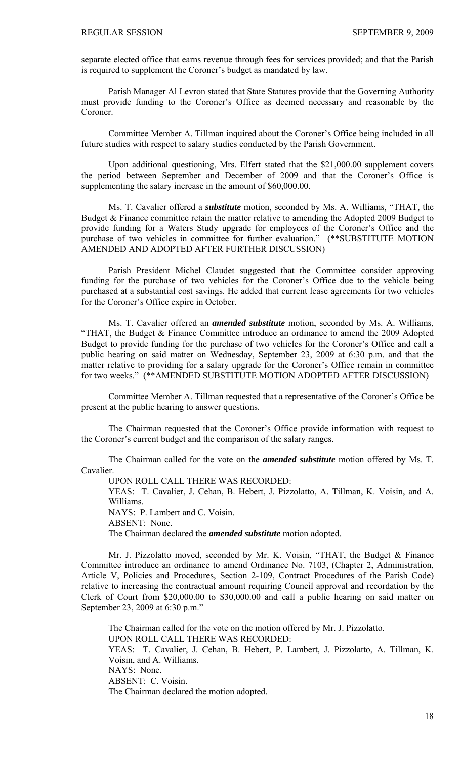separate elected office that earns revenue through fees for services provided; and that the Parish is required to supplement the Coroner's budget as mandated by law.

 Parish Manager Al Levron stated that State Statutes provide that the Governing Authority must provide funding to the Coroner's Office as deemed necessary and reasonable by the **Coroner** 

 Committee Member A. Tillman inquired about the Coroner's Office being included in all future studies with respect to salary studies conducted by the Parish Government.

 Upon additional questioning, Mrs. Elfert stated that the \$21,000.00 supplement covers the period between September and December of 2009 and that the Coroner's Office is supplementing the salary increase in the amount of \$60,000.00.

 Ms. T. Cavalier offered a *substitute* motion, seconded by Ms. A. Williams, "THAT, the Budget & Finance committee retain the matter relative to amending the Adopted 2009 Budget to provide funding for a Waters Study upgrade for employees of the Coroner's Office and the purchase of two vehicles in committee for further evaluation." (\*\*SUBSTITUTE MOTION AMENDED AND ADOPTED AFTER FURTHER DISCUSSION)

Parish President Michel Claudet suggested that the Committee consider approving funding for the purchase of two vehicles for the Coroner's Office due to the vehicle being purchased at a substantial cost savings. He added that current lease agreements for two vehicles for the Coroner's Office expire in October.

 Ms. T. Cavalier offered an *amended substitute* motion, seconded by Ms. A. Williams, "THAT, the Budget & Finance Committee introduce an ordinance to amend the 2009 Adopted Budget to provide funding for the purchase of two vehicles for the Coroner's Office and call a public hearing on said matter on Wednesday, September 23, 2009 at 6:30 p.m. and that the matter relative to providing for a salary upgrade for the Coroner's Office remain in committee for two weeks." (\*\*AMENDED SUBSTITUTE MOTION ADOPTED AFTER DISCUSSION)

 Committee Member A. Tillman requested that a representative of the Coroner's Office be present at the public hearing to answer questions.

 The Chairman requested that the Coroner's Office provide information with request to the Coroner's current budget and the comparison of the salary ranges.

The Chairman called for the vote on the *amended substitute* motion offered by Ms. T. Cavalier.

UPON ROLL CALL THERE WAS RECORDED:

YEAS: T. Cavalier, J. Cehan, B. Hebert, J. Pizzolatto, A. Tillman, K. Voisin, and A. Williams.

NAYS: P. Lambert and C. Voisin.

ABSENT: None.

The Chairman declared the *amended substitute* motion adopted.

 Mr. J. Pizzolatto moved, seconded by Mr. K. Voisin, "THAT, the Budget & Finance Committee introduce an ordinance to amend Ordinance No. 7103, (Chapter 2, Administration, Article V, Policies and Procedures, Section 2-109, Contract Procedures of the Parish Code) relative to increasing the contractual amount requiring Council approval and recordation by the Clerk of Court from \$20,000.00 to \$30,000.00 and call a public hearing on said matter on September 23, 2009 at 6:30 p.m."

The Chairman called for the vote on the motion offered by Mr. J. Pizzolatto. UPON ROLL CALL THERE WAS RECORDED: YEAS: T. Cavalier, J. Cehan, B. Hebert, P. Lambert, J. Pizzolatto, A. Tillman, K. Voisin, and A. Williams. NAYS: None. ABSENT: C. Voisin. The Chairman declared the motion adopted.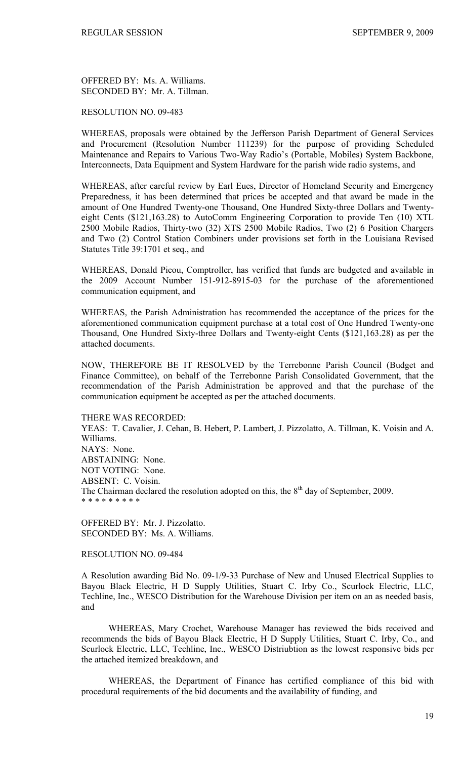OFFERED BY: Ms. A. Williams. SECONDED BY: Mr. A. Tillman.

## RESOLUTION NO. 09-483

WHEREAS, proposals were obtained by the Jefferson Parish Department of General Services and Procurement (Resolution Number 111239) for the purpose of providing Scheduled Maintenance and Repairs to Various Two-Way Radio's (Portable, Mobiles) System Backbone, Interconnects, Data Equipment and System Hardware for the parish wide radio systems, and

WHEREAS, after careful review by Earl Eues, Director of Homeland Security and Emergency Preparedness, it has been determined that prices be accepted and that award be made in the amount of One Hundred Twenty-one Thousand, One Hundred Sixty-three Dollars and Twentyeight Cents (\$121,163.28) to AutoComm Engineering Corporation to provide Ten (10) XTL 2500 Mobile Radios, Thirty-two (32) XTS 2500 Mobile Radios, Two (2) 6 Position Chargers and Two (2) Control Station Combiners under provisions set forth in the Louisiana Revised Statutes Title 39:1701 et seq., and

WHEREAS, Donald Picou, Comptroller, has verified that funds are budgeted and available in the 2009 Account Number 151-912-8915-03 for the purchase of the aforementioned communication equipment, and

WHEREAS, the Parish Administration has recommended the acceptance of the prices for the aforementioned communication equipment purchase at a total cost of One Hundred Twenty-one Thousand, One Hundred Sixty-three Dollars and Twenty-eight Cents (\$121,163.28) as per the attached documents.

NOW, THEREFORE BE IT RESOLVED by the Terrebonne Parish Council (Budget and Finance Committee), on behalf of the Terrebonne Parish Consolidated Government, that the recommendation of the Parish Administration be approved and that the purchase of the communication equipment be accepted as per the attached documents.

THERE WAS RECORDED:

YEAS: T. Cavalier, J. Cehan, B. Hebert, P. Lambert, J. Pizzolatto, A. Tillman, K. Voisin and A. Williams. NAYS: None. ABSTAINING: None. NOT VOTING: None. ABSENT: C. Voisin. The Chairman declared the resolution adopted on this, the  $8<sup>th</sup>$  day of September, 2009. \* \* \* \* \* \* \* \* \*

OFFERED BY: Mr. J. Pizzolatto. SECONDED BY: Ms. A. Williams.

RESOLUTION NO. 09-484

A Resolution awarding Bid No. 09-1/9-33 Purchase of New and Unused Electrical Supplies to Bayou Black Electric, H D Supply Utilities, Stuart C. Irby Co., Scurlock Electric, LLC, Techline, Inc., WESCO Distribution for the Warehouse Division per item on an as needed basis, and

 WHEREAS, Mary Crochet, Warehouse Manager has reviewed the bids received and recommends the bids of Bayou Black Electric, H D Supply Utilities, Stuart C. Irby, Co., and Scurlock Electric, LLC, Techline, Inc., WESCO Distriubtion as the lowest responsive bids per the attached itemized breakdown, and

 WHEREAS, the Department of Finance has certified compliance of this bid with procedural requirements of the bid documents and the availability of funding, and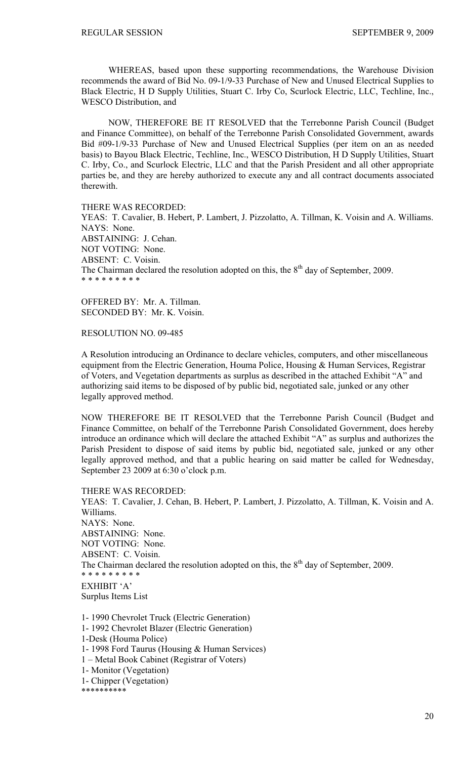WHEREAS, based upon these supporting recommendations, the Warehouse Division recommends the award of Bid No. 09-1/9-33 Purchase of New and Unused Electrical Supplies to Black Electric, H D Supply Utilities, Stuart C. Irby Co, Scurlock Electric, LLC, Techline, Inc., WESCO Distribution, and

 NOW, THEREFORE BE IT RESOLVED that the Terrebonne Parish Council (Budget and Finance Committee), on behalf of the Terrebonne Parish Consolidated Government, awards Bid #09-1/9-33 Purchase of New and Unused Electrical Supplies (per item on an as needed basis) to Bayou Black Electric, Techline, Inc., WESCO Distribution, H D Supply Utilities, Stuart C. Irby, Co., and Scurlock Electric, LLC and that the Parish President and all other appropriate parties be, and they are hereby authorized to execute any and all contract documents associated therewith.

THERE WAS RECORDED:

YEAS: T. Cavalier, B. Hebert, P. Lambert, J. Pizzolatto, A. Tillman, K. Voisin and A. Williams. NAYS: None. ABSTAINING: J. Cehan. NOT VOTING: None. ABSENT: C. Voisin. The Chairman declared the resolution adopted on this, the  $8<sup>th</sup>$  day of September, 2009. \* \* \* \* \* \* \* \* \*

OFFERED BY: Mr. A. Tillman. SECONDED BY: Mr. K. Voisin.

RESOLUTION NO. 09-485

A Resolution introducing an Ordinance to declare vehicles, computers, and other miscellaneous equipment from the Electric Generation, Houma Police, Housing & Human Services, Registrar of Voters, and Vegetation departments as surplus as described in the attached Exhibit "A" and authorizing said items to be disposed of by public bid, negotiated sale, junked or any other legally approved method.

NOW THEREFORE BE IT RESOLVED that the Terrebonne Parish Council (Budget and Finance Committee, on behalf of the Terrebonne Parish Consolidated Government, does hereby introduce an ordinance which will declare the attached Exhibit "A" as surplus and authorizes the Parish President to dispose of said items by public bid, negotiated sale, junked or any other legally approved method, and that a public hearing on said matter be called for Wednesday, September 23 2009 at 6:30 o'clock p.m.

THERE WAS RECORDED: YEAS: T. Cavalier, J. Cehan, B. Hebert, P. Lambert, J. Pizzolatto, A. Tillman, K. Voisin and A. Williams. NAYS: None. ABSTAINING: None. NOT VOTING: None. ABSENT: C. Voisin. The Chairman declared the resolution adopted on this, the  $8<sup>th</sup>$  day of September, 2009. \* \* \* \* \* \* \* \* \* EXHIBIT 'A' Surplus Items List 1- 1990 Chevrolet Truck (Electric Generation)

- 1- 1992 Chevrolet Blazer (Electric Generation) 1-Desk (Houma Police) 1- 1998 Ford Taurus (Housing & Human Services) 1 – Metal Book Cabinet (Registrar of Voters) 1- Monitor (Vegetation)
- 1- Chipper (Vegetation)
- \*\*\*\*\*\*\*\*\*\*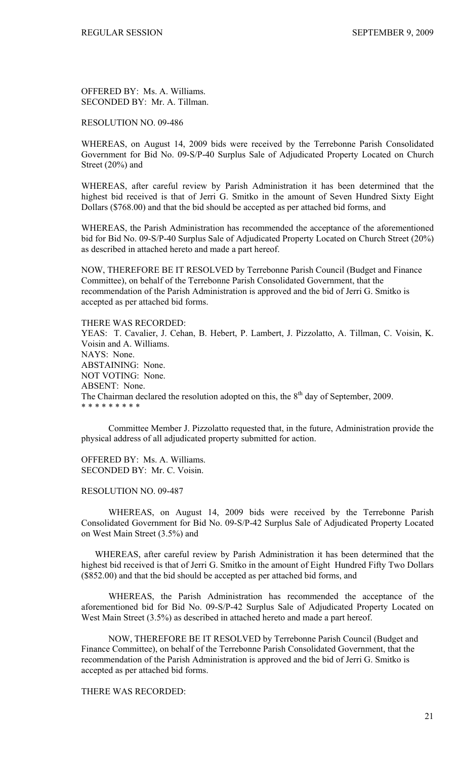OFFERED BY: Ms. A. Williams. SECONDED BY: Mr. A. Tillman.

RESOLUTION NO. 09-486

WHEREAS, on August 14, 2009 bids were received by the Terrebonne Parish Consolidated Government for Bid No. 09-S/P-40 Surplus Sale of Adjudicated Property Located on Church Street (20%) and

WHEREAS, after careful review by Parish Administration it has been determined that the highest bid received is that of Jerri G. Smitko in the amount of Seven Hundred Sixty Eight Dollars (\$768.00) and that the bid should be accepted as per attached bid forms, and

WHEREAS, the Parish Administration has recommended the acceptance of the aforementioned bid for Bid No. 09-S/P-40 Surplus Sale of Adjudicated Property Located on Church Street (20%) as described in attached hereto and made a part hereof.

NOW, THEREFORE BE IT RESOLVED by Terrebonne Parish Council (Budget and Finance Committee), on behalf of the Terrebonne Parish Consolidated Government, that the recommendation of the Parish Administration is approved and the bid of Jerri G. Smitko is accepted as per attached bid forms.

THERE WAS RECORDED:

YEAS: T. Cavalier, J. Cehan, B. Hebert, P. Lambert, J. Pizzolatto, A. Tillman, C. Voisin, K. Voisin and A. Williams. NAYS: None. ABSTAINING: None. NOT VOTING: None. ABSENT: None. The Chairman declared the resolution adopted on this, the  $8<sup>th</sup>$  day of September, 2009. \* \* \* \* \* \* \* \* \*

 Committee Member J. Pizzolatto requested that, in the future, Administration provide the physical address of all adjudicated property submitted for action.

OFFERED BY: Ms. A. Williams. SECONDED BY: Mr. C. Voisin.

RESOLUTION NO. 09-487

 WHEREAS, on August 14, 2009 bids were received by the Terrebonne Parish Consolidated Government for Bid No. 09-S/P-42 Surplus Sale of Adjudicated Property Located on West Main Street (3.5%) and

 WHEREAS, after careful review by Parish Administration it has been determined that the highest bid received is that of Jerri G. Smitko in the amount of Eight Hundred Fifty Two Dollars (\$852.00) and that the bid should be accepted as per attached bid forms, and

 WHEREAS, the Parish Administration has recommended the acceptance of the aforementioned bid for Bid No. 09-S/P-42 Surplus Sale of Adjudicated Property Located on West Main Street (3.5%) as described in attached hereto and made a part hereof.

NOW, THEREFORE BE IT RESOLVED by Terrebonne Parish Council (Budget and Finance Committee), on behalf of the Terrebonne Parish Consolidated Government, that the recommendation of the Parish Administration is approved and the bid of Jerri G. Smitko is accepted as per attached bid forms.

THERE WAS RECORDED: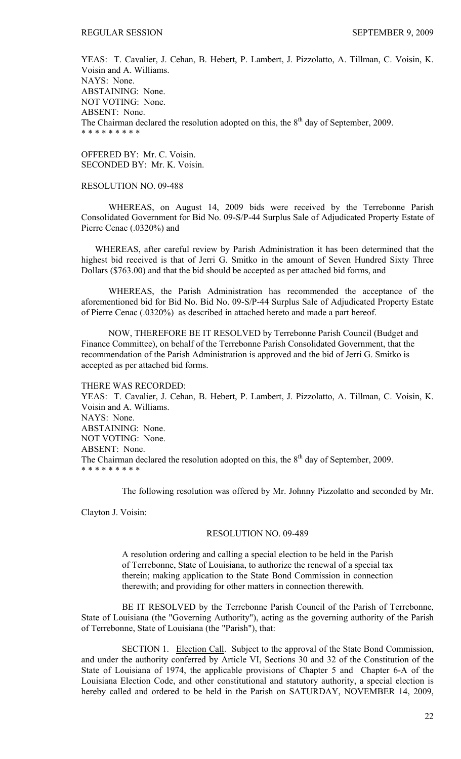YEAS: T. Cavalier, J. Cehan, B. Hebert, P. Lambert, J. Pizzolatto, A. Tillman, C. Voisin, K. Voisin and A. Williams. NAYS: None. ABSTAINING: None. NOT VOTING: None. ABSENT: None. The Chairman declared the resolution adopted on this, the  $8<sup>th</sup>$  day of September, 2009. \* \* \* \* \* \* \* \* \*

OFFERED BY: Mr. C. Voisin. SECONDED BY: Mr. K. Voisin.

#### RESOLUTION NO. 09-488

 WHEREAS, on August 14, 2009 bids were received by the Terrebonne Parish Consolidated Government for Bid No. 09-S/P-44 Surplus Sale of Adjudicated Property Estate of Pierre Cenac (.0320%) and

 WHEREAS, after careful review by Parish Administration it has been determined that the highest bid received is that of Jerri G. Smitko in the amount of Seven Hundred Sixty Three Dollars (\$763.00) and that the bid should be accepted as per attached bid forms, and

 WHEREAS, the Parish Administration has recommended the acceptance of the aforementioned bid for Bid No. Bid No. 09-S/P-44 Surplus Sale of Adjudicated Property Estate of Pierre Cenac (.0320%) as described in attached hereto and made a part hereof.

NOW, THEREFORE BE IT RESOLVED by Terrebonne Parish Council (Budget and Finance Committee), on behalf of the Terrebonne Parish Consolidated Government, that the recommendation of the Parish Administration is approved and the bid of Jerri G. Smitko is accepted as per attached bid forms.

THERE WAS RECORDED: YEAS: T. Cavalier, J. Cehan, B. Hebert, P. Lambert, J. Pizzolatto, A. Tillman, C. Voisin, K. Voisin and A. Williams. NAYS: None. ABSTAINING: None. NOT VOTING: None. ABSENT: None. The Chairman declared the resolution adopted on this, the  $8<sup>th</sup>$  day of September, 2009. \* \* \* \* \* \* \* \* \*

The following resolution was offered by Mr. Johnny Pizzolatto and seconded by Mr.

Clayton J. Voisin:

#### RESOLUTION NO. 09-489

A resolution ordering and calling a special election to be held in the Parish of Terrebonne, State of Louisiana, to authorize the renewal of a special tax therein; making application to the State Bond Commission in connection therewith; and providing for other matters in connection therewith.

BE IT RESOLVED by the Terrebonne Parish Council of the Parish of Terrebonne, State of Louisiana (the "Governing Authority"), acting as the governing authority of the Parish of Terrebonne, State of Louisiana (the "Parish"), that:

SECTION 1. Election Call. Subject to the approval of the State Bond Commission, and under the authority conferred by Article VI, Sections 30 and 32 of the Constitution of the State of Louisiana of 1974, the applicable provisions of Chapter 5 and Chapter 6-A of the Louisiana Election Code, and other constitutional and statutory authority, a special election is hereby called and ordered to be held in the Parish on SATURDAY, NOVEMBER 14, 2009,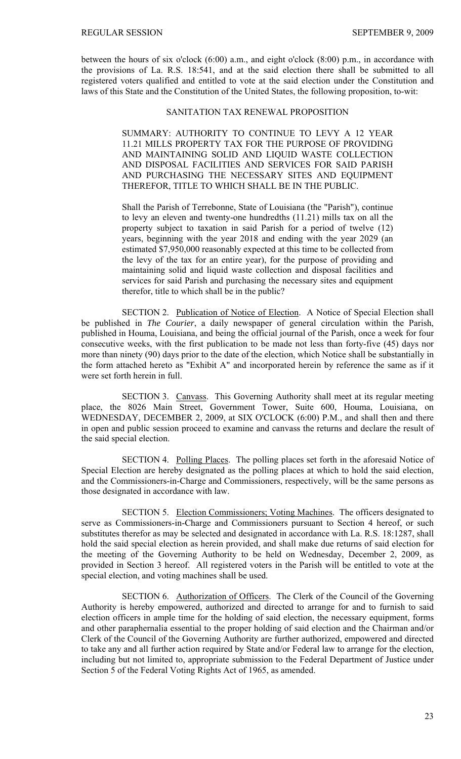between the hours of six o'clock (6:00) a.m., and eight o'clock (8:00) p.m., in accordance with the provisions of La. R.S. 18:541, and at the said election there shall be submitted to all registered voters qualified and entitled to vote at the said election under the Constitution and laws of this State and the Constitution of the United States, the following proposition, to-wit:

# SANITATION TAX RENEWAL PROPOSITION

SUMMARY: AUTHORITY TO CONTINUE TO LEVY A 12 YEAR 11.21 MILLS PROPERTY TAX FOR THE PURPOSE OF PROVIDING AND MAINTAINING SOLID AND LIQUID WASTE COLLECTION AND DISPOSAL FACILITIES AND SERVICES FOR SAID PARISH AND PURCHASING THE NECESSARY SITES AND EQUIPMENT THEREFOR, TITLE TO WHICH SHALL BE IN THE PUBLIC.

Shall the Parish of Terrebonne, State of Louisiana (the "Parish"), continue to levy an eleven and twenty-one hundredths (11.21) mills tax on all the property subject to taxation in said Parish for a period of twelve (12) years, beginning with the year 2018 and ending with the year 2029 (an estimated \$7,950,000 reasonably expected at this time to be collected from the levy of the tax for an entire year), for the purpose of providing and maintaining solid and liquid waste collection and disposal facilities and services for said Parish and purchasing the necessary sites and equipment therefor, title to which shall be in the public?

SECTION 2. Publication of Notice of Election. A Notice of Special Election shall be published in *The Courier*, a daily newspaper of general circulation within the Parish, published in Houma, Louisiana, and being the official journal of the Parish, once a week for four consecutive weeks, with the first publication to be made not less than forty-five (45) days nor more than ninety (90) days prior to the date of the election, which Notice shall be substantially in the form attached hereto as "Exhibit A" and incorporated herein by reference the same as if it were set forth herein in full.

SECTION 3. Canvass. This Governing Authority shall meet at its regular meeting place, the 8026 Main Street, Government Tower, Suite 600, Houma, Louisiana, on WEDNESDAY, DECEMBER 2, 2009, at SIX O'CLOCK (6:00) P.M., and shall then and there in open and public session proceed to examine and canvass the returns and declare the result of the said special election.

SECTION 4. Polling Places. The polling places set forth in the aforesaid Notice of Special Election are hereby designated as the polling places at which to hold the said election, and the Commissioners-in-Charge and Commissioners, respectively, will be the same persons as those designated in accordance with law.

SECTION 5. Election Commissioners; Voting Machines. The officers designated to serve as Commissioners-in-Charge and Commissioners pursuant to Section 4 hereof, or such substitutes therefor as may be selected and designated in accordance with La. R.S. 18:1287, shall hold the said special election as herein provided, and shall make due returns of said election for the meeting of the Governing Authority to be held on Wednesday, December 2, 2009, as provided in Section 3 hereof. All registered voters in the Parish will be entitled to vote at the special election, and voting machines shall be used.

SECTION 6. Authorization of Officers. The Clerk of the Council of the Governing Authority is hereby empowered, authorized and directed to arrange for and to furnish to said election officers in ample time for the holding of said election, the necessary equipment, forms and other paraphernalia essential to the proper holding of said election and the Chairman and/or Clerk of the Council of the Governing Authority are further authorized, empowered and directed to take any and all further action required by State and/or Federal law to arrange for the election, including but not limited to, appropriate submission to the Federal Department of Justice under Section 5 of the Federal Voting Rights Act of 1965, as amended.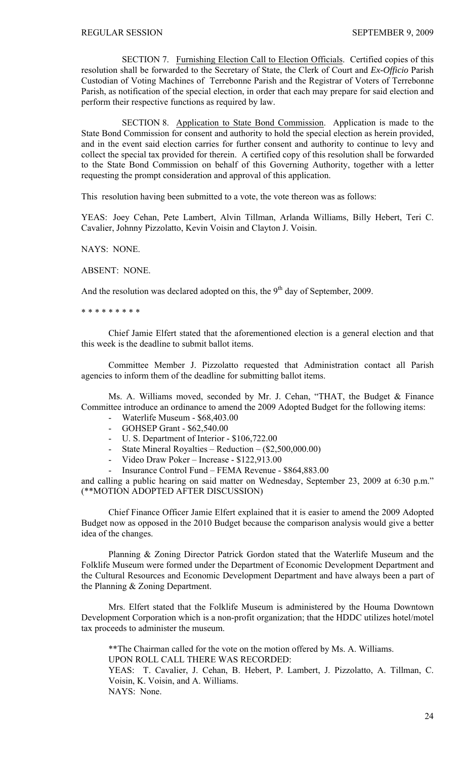SECTION 7. Furnishing Election Call to Election Officials. Certified copies of this resolution shall be forwarded to the Secretary of State, the Clerk of Court and *Ex-Officio* Parish Custodian of Voting Machines of Terrebonne Parish and the Registrar of Voters of Terrebonne Parish, as notification of the special election, in order that each may prepare for said election and perform their respective functions as required by law.

SECTION 8. Application to State Bond Commission. Application is made to the State Bond Commission for consent and authority to hold the special election as herein provided, and in the event said election carries for further consent and authority to continue to levy and collect the special tax provided for therein. A certified copy of this resolution shall be forwarded to the State Bond Commission on behalf of this Governing Authority, together with a letter requesting the prompt consideration and approval of this application.

This resolution having been submitted to a vote, the vote thereon was as follows:

YEAS: Joey Cehan, Pete Lambert, Alvin Tillman, Arlanda Williams, Billy Hebert, Teri C. Cavalier, Johnny Pizzolatto, Kevin Voisin and Clayton J. Voisin.

NAYS: NONE.

ABSENT: NONE.

And the resolution was declared adopted on this, the  $9<sup>th</sup>$  day of September, 2009.

\* \* \* \* \* \* \* \* \*

 Chief Jamie Elfert stated that the aforementioned election is a general election and that this week is the deadline to submit ballot items.

 Committee Member J. Pizzolatto requested that Administration contact all Parish agencies to inform them of the deadline for submitting ballot items.

 Ms. A. Williams moved, seconded by Mr. J. Cehan, "THAT, the Budget & Finance Committee introduce an ordinance to amend the 2009 Adopted Budget for the following items:

- Waterlife Museum \$68,403.00
- GOHSEP Grant \$62,540.00
- U. S. Department of Interior \$106,722.00
- State Mineral Royalties Reduction (\$2,500,000.00)
- Video Draw Poker Increase \$122,913.00
- Insurance Control Fund FEMA Revenue \$864,883.00

and calling a public hearing on said matter on Wednesday, September 23, 2009 at 6:30 p.m." (\*\*MOTION ADOPTED AFTER DISCUSSION)

 Chief Finance Officer Jamie Elfert explained that it is easier to amend the 2009 Adopted Budget now as opposed in the 2010 Budget because the comparison analysis would give a better idea of the changes.

 Planning & Zoning Director Patrick Gordon stated that the Waterlife Museum and the Folklife Museum were formed under the Department of Economic Development Department and the Cultural Resources and Economic Development Department and have always been a part of the Planning & Zoning Department.

 Mrs. Elfert stated that the Folklife Museum is administered by the Houma Downtown Development Corporation which is a non-profit organization; that the HDDC utilizes hotel/motel tax proceeds to administer the museum.

\*\*The Chairman called for the vote on the motion offered by Ms. A. Williams. UPON ROLL CALL THERE WAS RECORDED: YEAS: T. Cavalier, J. Cehan, B. Hebert, P. Lambert, J. Pizzolatto, A. Tillman, C.

Voisin, K. Voisin, and A. Williams. NAYS: None.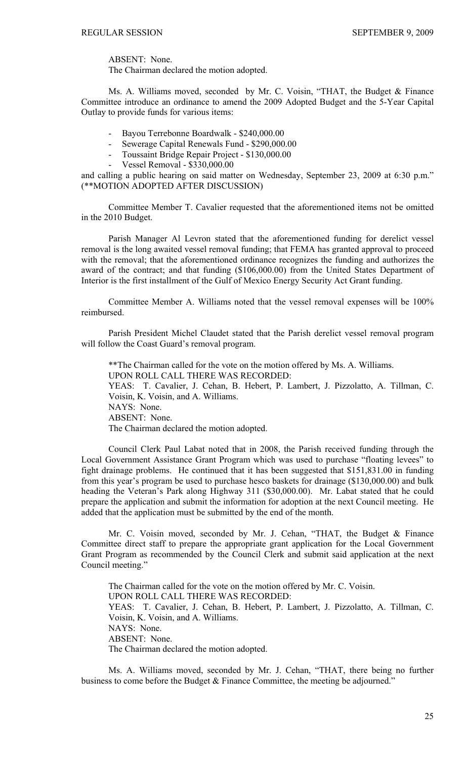ABSENT: None.

The Chairman declared the motion adopted.

 Ms. A. Williams moved, seconded by Mr. C. Voisin, "THAT, the Budget & Finance Committee introduce an ordinance to amend the 2009 Adopted Budget and the 5-Year Capital Outlay to provide funds for various items:

- Bayou Terrebonne Boardwalk \$240,000.00
- Sewerage Capital Renewals Fund \$290,000.00
- Toussaint Bridge Repair Project \$130,000.00
- Vessel Removal \$330,000.00

and calling a public hearing on said matter on Wednesday, September 23, 2009 at 6:30 p.m." (\*\*MOTION ADOPTED AFTER DISCUSSION)

 Committee Member T. Cavalier requested that the aforementioned items not be omitted in the 2010 Budget.

 Parish Manager Al Levron stated that the aforementioned funding for derelict vessel removal is the long awaited vessel removal funding; that FEMA has granted approval to proceed with the removal; that the aforementioned ordinance recognizes the funding and authorizes the award of the contract; and that funding (\$106,000.00) from the United States Department of Interior is the first installment of the Gulf of Mexico Energy Security Act Grant funding.

 Committee Member A. Williams noted that the vessel removal expenses will be 100% reimbursed.

 Parish President Michel Claudet stated that the Parish derelict vessel removal program will follow the Coast Guard's removal program.

\*\*The Chairman called for the vote on the motion offered by Ms. A. Williams. UPON ROLL CALL THERE WAS RECORDED: YEAS: T. Cavalier, J. Cehan, B. Hebert, P. Lambert, J. Pizzolatto, A. Tillman, C. Voisin, K. Voisin, and A. Williams. NAYS: None. ABSENT: None. The Chairman declared the motion adopted.

 Council Clerk Paul Labat noted that in 2008, the Parish received funding through the Local Government Assistance Grant Program which was used to purchase "floating levees" to fight drainage problems. He continued that it has been suggested that \$151,831.00 in funding from this year's program be used to purchase hesco baskets for drainage (\$130,000.00) and bulk heading the Veteran's Park along Highway 311 (\$30,000.00). Mr. Labat stated that he could prepare the application and submit the information for adoption at the next Council meeting. He added that the application must be submitted by the end of the month.

 Mr. C. Voisin moved, seconded by Mr. J. Cehan, "THAT, the Budget & Finance Committee direct staff to prepare the appropriate grant application for the Local Government Grant Program as recommended by the Council Clerk and submit said application at the next Council meeting."

The Chairman called for the vote on the motion offered by Mr. C. Voisin. UPON ROLL CALL THERE WAS RECORDED: YEAS: T. Cavalier, J. Cehan, B. Hebert, P. Lambert, J. Pizzolatto, A. Tillman, C. Voisin, K. Voisin, and A. Williams. NAYS: None. ABSENT: None. The Chairman declared the motion adopted.

 Ms. A. Williams moved, seconded by Mr. J. Cehan, "THAT, there being no further business to come before the Budget & Finance Committee, the meeting be adjourned."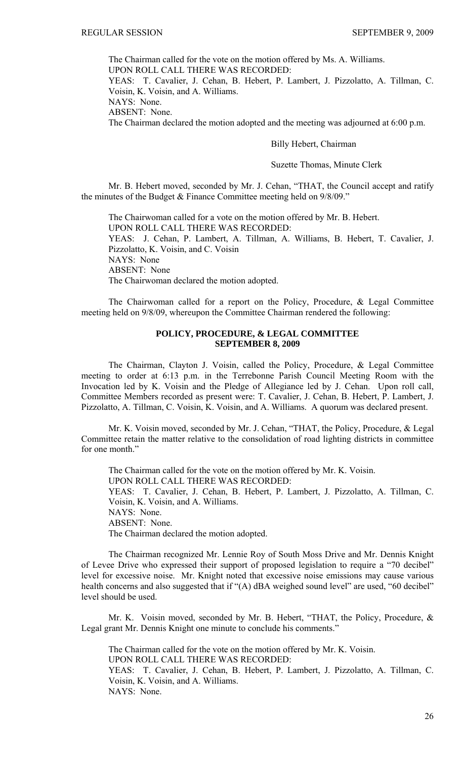The Chairman called for the vote on the motion offered by Ms. A. Williams.

UPON ROLL CALL THERE WAS RECORDED:

YEAS: T. Cavalier, J. Cehan, B. Hebert, P. Lambert, J. Pizzolatto, A. Tillman, C. Voisin, K. Voisin, and A. Williams.

NAYS: None.

ABSENT: None.

The Chairman declared the motion adopted and the meeting was adjourned at 6:00 p.m.

#### Billy Hebert, Chairman

#### Suzette Thomas, Minute Clerk

 Mr. B. Hebert moved, seconded by Mr. J. Cehan, "THAT, the Council accept and ratify the minutes of the Budget & Finance Committee meeting held on 9/8/09."

 The Chairwoman called for a vote on the motion offered by Mr. B. Hebert. UPON ROLL CALL THERE WAS RECORDED: YEAS: J. Cehan, P. Lambert, A. Tillman, A. Williams, B. Hebert, T. Cavalier, J. Pizzolatto, K. Voisin, and C. Voisin NAYS: None ABSENT: None The Chairwoman declared the motion adopted.

 The Chairwoman called for a report on the Policy, Procedure, & Legal Committee meeting held on 9/8/09, whereupon the Committee Chairman rendered the following:

# **POLICY, PROCEDURE, & LEGAL COMMITTEE SEPTEMBER 8, 2009**

 The Chairman, Clayton J. Voisin, called the Policy, Procedure, & Legal Committee meeting to order at 6:13 p.m. in the Terrebonne Parish Council Meeting Room with the Invocation led by K. Voisin and the Pledge of Allegiance led by J. Cehan. Upon roll call, Committee Members recorded as present were: T. Cavalier, J. Cehan, B. Hebert, P. Lambert, J. Pizzolatto, A. Tillman, C. Voisin, K. Voisin, and A. Williams. A quorum was declared present.

 Mr. K. Voisin moved, seconded by Mr. J. Cehan, "THAT, the Policy, Procedure, & Legal Committee retain the matter relative to the consolidation of road lighting districts in committee for one month."

 The Chairman called for the vote on the motion offered by Mr. K. Voisin. UPON ROLL CALL THERE WAS RECORDED: YEAS: T. Cavalier, J. Cehan, B. Hebert, P. Lambert, J. Pizzolatto, A. Tillman, C. Voisin, K. Voisin, and A. Williams. NAYS: None. ABSENT: None. The Chairman declared the motion adopted.

 The Chairman recognized Mr. Lennie Roy of South Moss Drive and Mr. Dennis Knight of Levee Drive who expressed their support of proposed legislation to require a "70 decibel" level for excessive noise. Mr. Knight noted that excessive noise emissions may cause various health concerns and also suggested that if "(A) dBA weighed sound level" are used, "60 decibel" level should be used.

 Mr. K. Voisin moved, seconded by Mr. B. Hebert, "THAT, the Policy, Procedure, & Legal grant Mr. Dennis Knight one minute to conclude his comments."

 The Chairman called for the vote on the motion offered by Mr. K. Voisin. UPON ROLL CALL THERE WAS RECORDED: YEAS: T. Cavalier, J. Cehan, B. Hebert, P. Lambert, J. Pizzolatto, A. Tillman, C. Voisin, K. Voisin, and A. Williams. NAYS: None.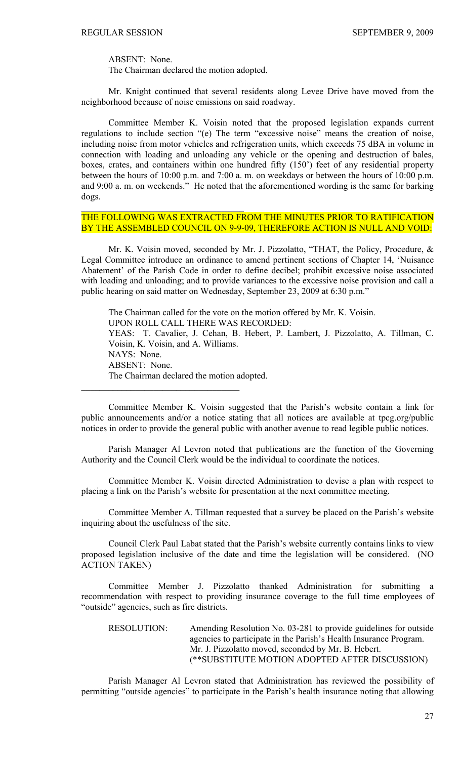ABSENT: None.

The Chairman declared the motion adopted.

 $\mathcal{L}_\text{max}$  , and the set of the set of the set of the set of the set of the set of the set of the set of the set of the set of the set of the set of the set of the set of the set of the set of the set of the set of the

 $\mathcal{L}_\text{max}$  , and the set of the set of the set of the set of the set of the set of the set of the set of the set of the set of the set of the set of the set of the set of the set of the set of the set of the set of the

 Mr. Knight continued that several residents along Levee Drive have moved from the neighborhood because of noise emissions on said roadway.

 Committee Member K. Voisin noted that the proposed legislation expands current regulations to include section "(e) The term "excessive noise" means the creation of noise, including noise from motor vehicles and refrigeration units, which exceeds 75 dBA in volume in connection with loading and unloading any vehicle or the opening and destruction of bales, boxes, crates, and containers within one hundred fifty (150') feet of any residential property between the hours of 10:00 p.m. and 7:00 a. m. on weekdays or between the hours of 10:00 p.m. and 9:00 a. m. on weekends." He noted that the aforementioned wording is the same for barking dogs.

# THE FOLLOWING WAS EXTRACTED FROM THE MINUTES PRIOR TO RATIFICATION BY THE ASSEMBLED COUNCIL ON 9-9-09, THEREFORE ACTION IS NULL AND VOID:

 Mr. K. Voisin moved, seconded by Mr. J. Pizzolatto, "THAT, the Policy, Procedure, & Legal Committee introduce an ordinance to amend pertinent sections of Chapter 14, 'Nuisance Abatement' of the Parish Code in order to define decibel; prohibit excessive noise associated with loading and unloading; and to provide variances to the excessive noise provision and call a public hearing on said matter on Wednesday, September 23, 2009 at 6:30 p.m."

 The Chairman called for the vote on the motion offered by Mr. K. Voisin. UPON ROLL CALL THERE WAS RECORDED: YEAS: T. Cavalier, J. Cehan, B. Hebert, P. Lambert, J. Pizzolatto, A. Tillman, C. Voisin, K. Voisin, and A. Williams. NAYS: None. ABSENT: None. The Chairman declared the motion adopted.

 Committee Member K. Voisin suggested that the Parish's website contain a link for public announcements and/or a notice stating that all notices are available at tpcg.org/public notices in order to provide the general public with another avenue to read legible public notices.

 Parish Manager Al Levron noted that publications are the function of the Governing Authority and the Council Clerk would be the individual to coordinate the notices.

 Committee Member K. Voisin directed Administration to devise a plan with respect to placing a link on the Parish's website for presentation at the next committee meeting.

 Committee Member A. Tillman requested that a survey be placed on the Parish's website inquiring about the usefulness of the site.

 Council Clerk Paul Labat stated that the Parish's website currently contains links to view proposed legislation inclusive of the date and time the legislation will be considered. (NO ACTION TAKEN)

 Committee Member J. Pizzolatto thanked Administration for submitting a recommendation with respect to providing insurance coverage to the full time employees of "outside" agencies, such as fire districts.

RESOLUTION: Amending Resolution No. 03-281 to provide guidelines for outside agencies to participate in the Parish's Health Insurance Program. Mr. J. Pizzolatto moved, seconded by Mr. B. Hebert. (\*\*SUBSTITUTE MOTION ADOPTED AFTER DISCUSSION)

Parish Manager Al Levron stated that Administration has reviewed the possibility of permitting "outside agencies" to participate in the Parish's health insurance noting that allowing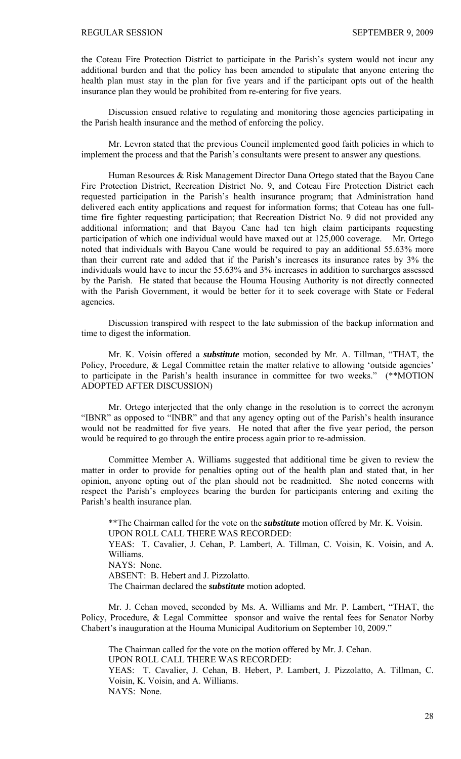the Coteau Fire Protection District to participate in the Parish's system would not incur any additional burden and that the policy has been amended to stipulate that anyone entering the health plan must stay in the plan for five years and if the participant opts out of the health insurance plan they would be prohibited from re-entering for five years.

Discussion ensued relative to regulating and monitoring those agencies participating in the Parish health insurance and the method of enforcing the policy.

Mr. Levron stated that the previous Council implemented good faith policies in which to implement the process and that the Parish's consultants were present to answer any questions.

Human Resources & Risk Management Director Dana Ortego stated that the Bayou Cane Fire Protection District, Recreation District No. 9, and Coteau Fire Protection District each requested participation in the Parish's health insurance program; that Administration hand delivered each entity applications and request for information forms; that Coteau has one fulltime fire fighter requesting participation; that Recreation District No. 9 did not provided any additional information; and that Bayou Cane had ten high claim participants requesting participation of which one individual would have maxed out at 125,000 coverage. Mr. Ortego noted that individuals with Bayou Cane would be required to pay an additional 55.63% more than their current rate and added that if the Parish's increases its insurance rates by 3% the individuals would have to incur the 55.63% and 3% increases in addition to surcharges assessed by the Parish. He stated that because the Houma Housing Authority is not directly connected with the Parish Government, it would be better for it to seek coverage with State or Federal agencies.

Discussion transpired with respect to the late submission of the backup information and time to digest the information.

Mr. K. Voisin offered a *substitute* motion, seconded by Mr. A. Tillman, "THAT, the Policy, Procedure, & Legal Committee retain the matter relative to allowing 'outside agencies' to participate in the Parish's health insurance in committee for two weeks." (\*\*MOTION ADOPTED AFTER DISCUSSION)

Mr. Ortego interjected that the only change in the resolution is to correct the acronym "IBNR" as opposed to "INBR" and that any agency opting out of the Parish's health insurance would not be readmitted for five years. He noted that after the five year period, the person would be required to go through the entire process again prior to re-admission.

Committee Member A. Williams suggested that additional time be given to review the matter in order to provide for penalties opting out of the health plan and stated that, in her opinion, anyone opting out of the plan should not be readmitted. She noted concerns with respect the Parish's employees bearing the burden for participants entering and exiting the Parish's health insurance plan.

\*\*The Chairman called for the vote on the *substitute* motion offered by Mr. K. Voisin. UPON ROLL CALL THERE WAS RECORDED: YEAS: T. Cavalier, J. Cehan, P. Lambert, A. Tillman, C. Voisin, K. Voisin, and A. Williams. NAYS: None. ABSENT: B. Hebert and J. Pizzolatto. The Chairman declared the *substitute* motion adopted.

 Mr. J. Cehan moved, seconded by Ms. A. Williams and Mr. P. Lambert, "THAT, the Policy, Procedure, & Legal Committee sponsor and waive the rental fees for Senator Norby Chabert's inauguration at the Houma Municipal Auditorium on September 10, 2009."

The Chairman called for the vote on the motion offered by Mr. J. Cehan. UPON ROLL CALL THERE WAS RECORDED: YEAS: T. Cavalier, J. Cehan, B. Hebert, P. Lambert, J. Pizzolatto, A. Tillman, C. Voisin, K. Voisin, and A. Williams. NAYS: None.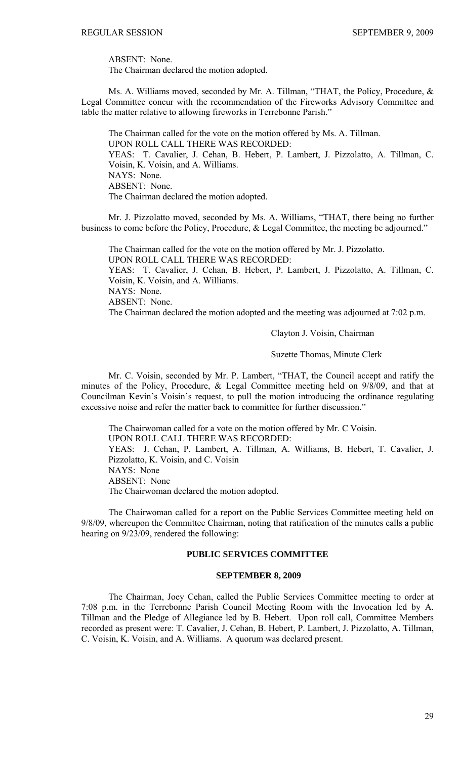ABSENT: None.

The Chairman declared the motion adopted.

Ms. A. Williams moved, seconded by Mr. A. Tillman, "THAT, the Policy, Procedure, & Legal Committee concur with the recommendation of the Fireworks Advisory Committee and table the matter relative to allowing fireworks in Terrebonne Parish."

The Chairman called for the vote on the motion offered by Ms. A. Tillman. UPON ROLL CALL THERE WAS RECORDED: YEAS: T. Cavalier, J. Cehan, B. Hebert, P. Lambert, J. Pizzolatto, A. Tillman, C. Voisin, K. Voisin, and A. Williams. NAYS: None. ABSENT: None. The Chairman declared the motion adopted.

 Mr. J. Pizzolatto moved, seconded by Ms. A. Williams, "THAT, there being no further business to come before the Policy, Procedure, & Legal Committee, the meeting be adjourned."

 The Chairman called for the vote on the motion offered by Mr. J. Pizzolatto. UPON ROLL CALL THERE WAS RECORDED: YEAS: T. Cavalier, J. Cehan, B. Hebert, P. Lambert, J. Pizzolatto, A. Tillman, C. Voisin, K. Voisin, and A. Williams. NAYS: None. ABSENT: None. The Chairman declared the motion adopted and the meeting was adjourned at 7:02 p.m.

Clayton J. Voisin, Chairman

Suzette Thomas, Minute Clerk

 Mr. C. Voisin, seconded by Mr. P. Lambert, "THAT, the Council accept and ratify the minutes of the Policy, Procedure, & Legal Committee meeting held on 9/8/09, and that at Councilman Kevin's Voisin's request, to pull the motion introducing the ordinance regulating excessive noise and refer the matter back to committee for further discussion."

 The Chairwoman called for a vote on the motion offered by Mr. C Voisin. UPON ROLL CALL THERE WAS RECORDED: YEAS: J. Cehan, P. Lambert, A. Tillman, A. Williams, B. Hebert, T. Cavalier, J. Pizzolatto, K. Voisin, and C. Voisin NAYS: None ABSENT: None The Chairwoman declared the motion adopted.

 The Chairwoman called for a report on the Public Services Committee meeting held on 9/8/09, whereupon the Committee Chairman, noting that ratification of the minutes calls a public hearing on 9/23/09, rendered the following:

# **PUBLIC SERVICES COMMITTEE**

#### **SEPTEMBER 8, 2009**

 The Chairman, Joey Cehan, called the Public Services Committee meeting to order at 7:08 p.m. in the Terrebonne Parish Council Meeting Room with the Invocation led by A. Tillman and the Pledge of Allegiance led by B. Hebert. Upon roll call, Committee Members recorded as present were: T. Cavalier, J. Cehan, B. Hebert, P. Lambert, J. Pizzolatto, A. Tillman, C. Voisin, K. Voisin, and A. Williams. A quorum was declared present.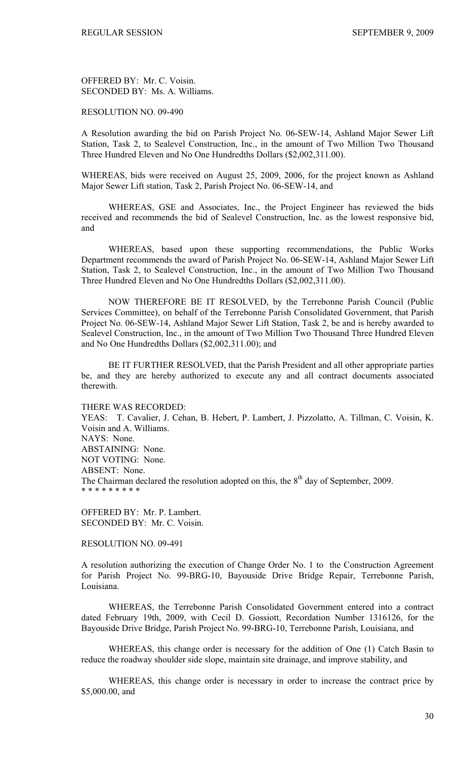OFFERED BY: Mr. C. Voisin. SECONDED BY: Ms. A. Williams.

## RESOLUTION NO. 09-490

A Resolution awarding the bid on Parish Project No. 06-SEW-14, Ashland Major Sewer Lift Station, Task 2, to Sealevel Construction, Inc., in the amount of Two Million Two Thousand Three Hundred Eleven and No One Hundredths Dollars (\$2,002,311.00).

WHEREAS, bids were received on August 25, 2009, 2006, for the project known as Ashland Major Sewer Lift station, Task 2, Parish Project No. 06-SEW-14, and

 WHEREAS, GSE and Associates, Inc., the Project Engineer has reviewed the bids received and recommends the bid of Sealevel Construction, Inc. as the lowest responsive bid, and

 WHEREAS, based upon these supporting recommendations, the Public Works Department recommends the award of Parish Project No. 06-SEW-14, Ashland Major Sewer Lift Station, Task 2, to Sealevel Construction, Inc., in the amount of Two Million Two Thousand Three Hundred Eleven and No One Hundredths Dollars (\$2,002,311.00).

 NOW THEREFORE BE IT RESOLVED, by the Terrebonne Parish Council (Public Services Committee), on behalf of the Terrebonne Parish Consolidated Government, that Parish Project No. 06-SEW-14, Ashland Major Sewer Lift Station, Task 2, be and is hereby awarded to Sealevel Construction, Inc., in the amount of Two Million Two Thousand Three Hundred Eleven and No One Hundredths Dollars (\$2,002,311.00); and

 BE IT FURTHER RESOLVED, that the Parish President and all other appropriate parties be, and they are hereby authorized to execute any and all contract documents associated therewith.

THERE WAS RECORDED:

YEAS: T. Cavalier, J. Cehan, B. Hebert, P. Lambert, J. Pizzolatto, A. Tillman, C. Voisin, K. Voisin and A. Williams. NAYS: None. ABSTAINING: None. NOT VOTING: None. ABSENT: None. The Chairman declared the resolution adopted on this, the  $8<sup>th</sup>$  day of September, 2009. \* \* \* \* \* \* \* \* \*

OFFERED BY: Mr. P. Lambert. SECONDED BY: Mr. C. Voisin.

RESOLUTION NO. 09-491

A resolution authorizing the execution of Change Order No. 1 to the Construction Agreement for Parish Project No. 99-BRG-10, Bayouside Drive Bridge Repair, Terrebonne Parish, Louisiana.

WHEREAS, the Terrebonne Parish Consolidated Government entered into a contract dated February 19th, 2009, with Cecil D. Gossiott, Recordation Number 1316126, for the Bayouside Drive Bridge, Parish Project No. 99-BRG-10, Terrebonne Parish, Louisiana, and

 WHEREAS, this change order is necessary for the addition of One (1) Catch Basin to reduce the roadway shoulder side slope, maintain site drainage, and improve stability, and

 WHEREAS, this change order is necessary in order to increase the contract price by \$5,000.00, and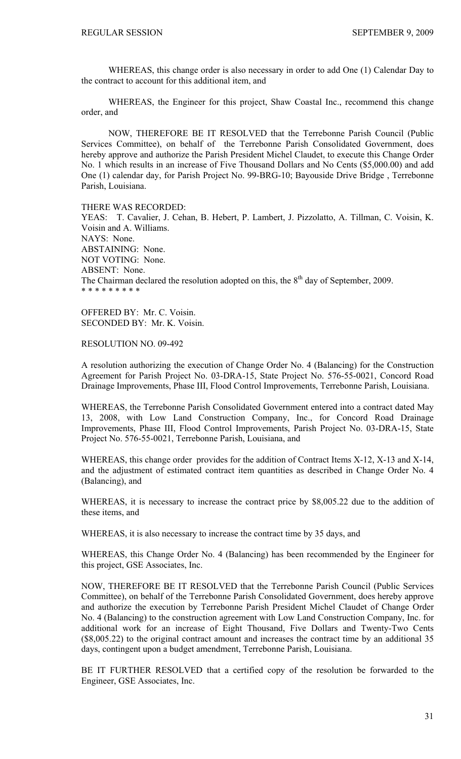WHEREAS, this change order is also necessary in order to add One (1) Calendar Day to the contract to account for this additional item, and

 WHEREAS, the Engineer for this project, Shaw Coastal Inc., recommend this change order, and

 NOW, THEREFORE BE IT RESOLVED that the Terrebonne Parish Council (Public Services Committee), on behalf of the Terrebonne Parish Consolidated Government, does hereby approve and authorize the Parish President Michel Claudet, to execute this Change Order No. 1 which results in an increase of Five Thousand Dollars and No Cents (\$5,000.00) and add One (1) calendar day, for Parish Project No. 99-BRG-10; Bayouside Drive Bridge , Terrebonne Parish, Louisiana.

THERE WAS RECORDED:

YEAS: T. Cavalier, J. Cehan, B. Hebert, P. Lambert, J. Pizzolatto, A. Tillman, C. Voisin, K. Voisin and A. Williams. NAYS: None. ABSTAINING: None. NOT VOTING: None. ABSENT: None. The Chairman declared the resolution adopted on this, the  $8<sup>th</sup>$  day of September, 2009. \* \* \* \* \* \* \* \* \*

OFFERED BY: Mr. C. Voisin. SECONDED BY: Mr. K. Voisin.

RESOLUTION NO. 09-492

A resolution authorizing the execution of Change Order No. 4 (Balancing) for the Construction Agreement for Parish Project No. 03-DRA-15, State Project No. 576-55-0021, Concord Road Drainage Improvements, Phase III, Flood Control Improvements, Terrebonne Parish, Louisiana.

WHEREAS, the Terrebonne Parish Consolidated Government entered into a contract dated May 13, 2008, with Low Land Construction Company, Inc., for Concord Road Drainage Improvements, Phase III, Flood Control Improvements, Parish Project No. 03-DRA-15, State Project No. 576-55-0021, Terrebonne Parish, Louisiana, and

WHEREAS, this change order provides for the addition of Contract Items X-12, X-13 and X-14, and the adjustment of estimated contract item quantities as described in Change Order No. 4 (Balancing), and

WHEREAS, it is necessary to increase the contract price by \$8,005.22 due to the addition of these items, and

WHEREAS, it is also necessary to increase the contract time by 35 days, and

WHEREAS, this Change Order No. 4 (Balancing) has been recommended by the Engineer for this project, GSE Associates, Inc.

NOW, THEREFORE BE IT RESOLVED that the Terrebonne Parish Council (Public Services Committee), on behalf of the Terrebonne Parish Consolidated Government, does hereby approve and authorize the execution by Terrebonne Parish President Michel Claudet of Change Order No. 4 (Balancing) to the construction agreement with Low Land Construction Company, Inc. for additional work for an increase of Eight Thousand, Five Dollars and Twenty-Two Cents (\$8,005.22) to the original contract amount and increases the contract time by an additional 35 days, contingent upon a budget amendment, Terrebonne Parish, Louisiana.

BE IT FURTHER RESOLVED that a certified copy of the resolution be forwarded to the Engineer, GSE Associates, Inc.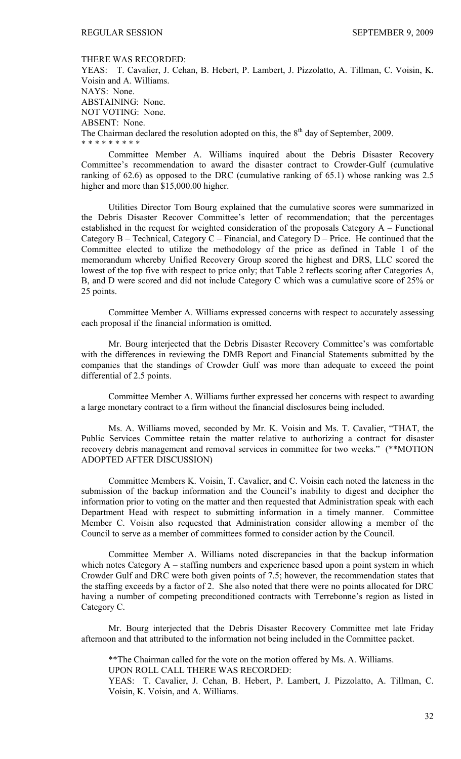#### THERE WAS RECORDED:

YEAS: T. Cavalier, J. Cehan, B. Hebert, P. Lambert, J. Pizzolatto, A. Tillman, C. Voisin, K. Voisin and A. Williams. NAYS: None. ABSTAINING: None. NOT VOTING: None. ABSENT: None. The Chairman declared the resolution adopted on this, the  $8<sup>th</sup>$  day of September, 2009. \* \* \* \* \* \* \* \* \*

 Committee Member A. Williams inquired about the Debris Disaster Recovery Committee's recommendation to award the disaster contract to Crowder-Gulf (cumulative ranking of 62.6) as opposed to the DRC (cumulative ranking of 65.1) whose ranking was 2.5 higher and more than \$15,000.00 higher.

 Utilities Director Tom Bourg explained that the cumulative scores were summarized in the Debris Disaster Recover Committee's letter of recommendation; that the percentages established in the request for weighted consideration of the proposals Category A – Functional Category B – Technical, Category C – Financial, and Category D – Price. He continued that the Committee elected to utilize the methodology of the price as defined in Table 1 of the memorandum whereby Unified Recovery Group scored the highest and DRS, LLC scored the lowest of the top five with respect to price only; that Table 2 reflects scoring after Categories A, B, and D were scored and did not include Category C which was a cumulative score of 25% or 25 points.

 Committee Member A. Williams expressed concerns with respect to accurately assessing each proposal if the financial information is omitted.

 Mr. Bourg interjected that the Debris Disaster Recovery Committee's was comfortable with the differences in reviewing the DMB Report and Financial Statements submitted by the companies that the standings of Crowder Gulf was more than adequate to exceed the point differential of 2.5 points.

 Committee Member A. Williams further expressed her concerns with respect to awarding a large monetary contract to a firm without the financial disclosures being included.

 Ms. A. Williams moved, seconded by Mr. K. Voisin and Ms. T. Cavalier, "THAT, the Public Services Committee retain the matter relative to authorizing a contract for disaster recovery debris management and removal services in committee for two weeks." (\*\*MOTION ADOPTED AFTER DISCUSSION)

 Committee Members K. Voisin, T. Cavalier, and C. Voisin each noted the lateness in the submission of the backup information and the Council's inability to digest and decipher the information prior to voting on the matter and then requested that Administration speak with each Department Head with respect to submitting information in a timely manner. Committee Member C. Voisin also requested that Administration consider allowing a member of the Council to serve as a member of committees formed to consider action by the Council.

 Committee Member A. Williams noted discrepancies in that the backup information which notes Category A – staffing numbers and experience based upon a point system in which Crowder Gulf and DRC were both given points of 7.5; however, the recommendation states that the staffing exceeds by a factor of 2. She also noted that there were no points allocated for DRC having a number of competing preconditioned contracts with Terrebonne's region as listed in Category C.

 Mr. Bourg interjected that the Debris Disaster Recovery Committee met late Friday afternoon and that attributed to the information not being included in the Committee packet.

 \*\*The Chairman called for the vote on the motion offered by Ms. A. Williams. UPON ROLL CALL THERE WAS RECORDED:

YEAS: T. Cavalier, J. Cehan, B. Hebert, P. Lambert, J. Pizzolatto, A. Tillman, C. Voisin, K. Voisin, and A. Williams.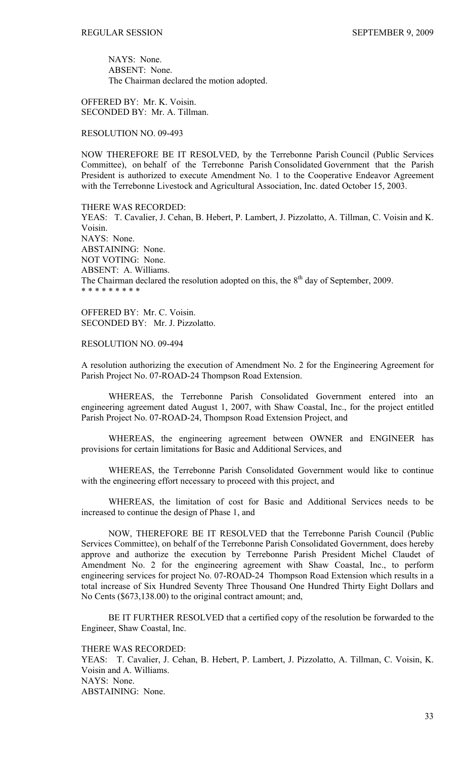NAYS: None. ABSENT: None. The Chairman declared the motion adopted.

OFFERED BY: Mr. K. Voisin. SECONDED BY: Mr. A. Tillman.

RESOLUTION NO. 09-493

NOW THEREFORE BE IT RESOLVED, by the Terrebonne Parish Council (Public Services Committee), on behalf of the Terrebonne Parish Consolidated Government that the Parish President is authorized to execute Amendment No. 1 to the Cooperative Endeavor Agreement with the Terrebonne Livestock and Agricultural Association, Inc. dated October 15, 2003.

THERE WAS RECORDED: YEAS: T. Cavalier, J. Cehan, B. Hebert, P. Lambert, J. Pizzolatto, A. Tillman, C. Voisin and K. Voisin. NAYS: None. ABSTAINING: None. NOT VOTING: None. ABSENT: A. Williams. The Chairman declared the resolution adopted on this, the  $8<sup>th</sup>$  day of September, 2009. \* \* \* \* \* \* \* \* \*

OFFERED BY: Mr. C. Voisin. SECONDED BY: Mr. J. Pizzolatto.

RESOLUTION NO. 09-494

A resolution authorizing the execution of Amendment No. 2 for the Engineering Agreement for Parish Project No. 07-ROAD-24 Thompson Road Extension.

 WHEREAS, the Terrebonne Parish Consolidated Government entered into an engineering agreement dated August 1, 2007, with Shaw Coastal, Inc., for the project entitled Parish Project No. 07-ROAD-24, Thompson Road Extension Project, and

 WHEREAS, the engineering agreement between OWNER and ENGINEER has provisions for certain limitations for Basic and Additional Services, and

 WHEREAS, the Terrebonne Parish Consolidated Government would like to continue with the engineering effort necessary to proceed with this project, and

 WHEREAS, the limitation of cost for Basic and Additional Services needs to be increased to continue the design of Phase 1, and

 NOW, THEREFORE BE IT RESOLVED that the Terrebonne Parish Council (Public Services Committee), on behalf of the Terrebonne Parish Consolidated Government, does hereby approve and authorize the execution by Terrebonne Parish President Michel Claudet of Amendment No. 2 for the engineering agreement with Shaw Coastal, Inc., to perform engineering services for project No. 07-ROAD-24 Thompson Road Extension which results in a total increase of Six Hundred Seventy Three Thousand One Hundred Thirty Eight Dollars and No Cents (\$673,138.00) to the original contract amount; and,

 BE IT FURTHER RESOLVED that a certified copy of the resolution be forwarded to the Engineer, Shaw Coastal, Inc.

THERE WAS RECORDED:

YEAS: T. Cavalier, J. Cehan, B. Hebert, P. Lambert, J. Pizzolatto, A. Tillman, C. Voisin, K. Voisin and A. Williams. NAYS: None. ABSTAINING: None.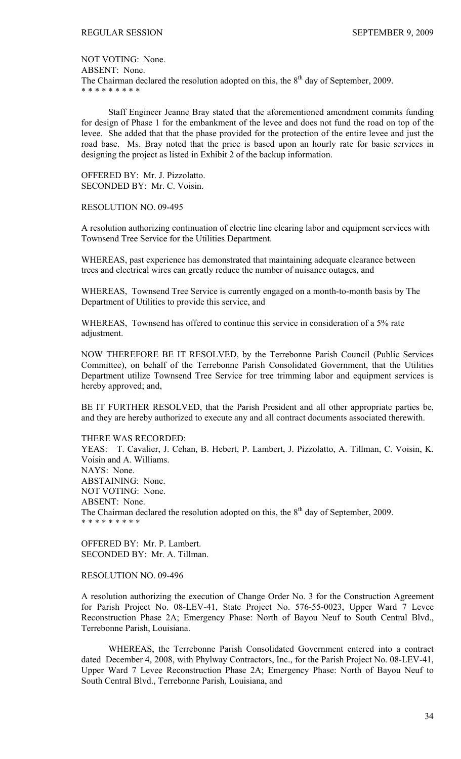NOT VOTING: None. ABSENT: None. The Chairman declared the resolution adopted on this, the  $8<sup>th</sup>$  day of September, 2009. \* \* \* \* \* \* \* \* \*

 Staff Engineer Jeanne Bray stated that the aforementioned amendment commits funding for design of Phase 1 for the embankment of the levee and does not fund the road on top of the levee. She added that that the phase provided for the protection of the entire levee and just the road base. Ms. Bray noted that the price is based upon an hourly rate for basic services in designing the project as listed in Exhibit 2 of the backup information.

OFFERED BY: Mr. J. Pizzolatto. SECONDED BY: Mr. C. Voisin.

RESOLUTION NO. 09-495

A resolution authorizing continuation of electric line clearing labor and equipment services with Townsend Tree Service for the Utilities Department.

WHEREAS, past experience has demonstrated that maintaining adequate clearance between trees and electrical wires can greatly reduce the number of nuisance outages, and

WHEREAS, Townsend Tree Service is currently engaged on a month-to-month basis by The Department of Utilities to provide this service, and

WHEREAS, Townsend has offered to continue this service in consideration of a 5% rate adjustment.

NOW THEREFORE BE IT RESOLVED, by the Terrebonne Parish Council (Public Services Committee), on behalf of the Terrebonne Parish Consolidated Government, that the Utilities Department utilize Townsend Tree Service for tree trimming labor and equipment services is hereby approved; and,

BE IT FURTHER RESOLVED, that the Parish President and all other appropriate parties be, and they are hereby authorized to execute any and all contract documents associated therewith.

THERE WAS RECORDED:

YEAS: T. Cavalier, J. Cehan, B. Hebert, P. Lambert, J. Pizzolatto, A. Tillman, C. Voisin, K. Voisin and A. Williams. NAYS: None. ABSTAINING: None. NOT VOTING: None. ABSENT: None. The Chairman declared the resolution adopted on this, the  $8<sup>th</sup>$  day of September, 2009. \* \* \* \* \* \* \* \* \*

OFFERED BY: Mr. P. Lambert. SECONDED BY: Mr. A. Tillman.

## RESOLUTION NO. 09-496

A resolution authorizing the execution of Change Order No. 3 for the Construction Agreement for Parish Project No. 08-LEV-41, State Project No. 576-55-0023, Upper Ward 7 Levee Reconstruction Phase 2A; Emergency Phase: North of Bayou Neuf to South Central Blvd., Terrebonne Parish, Louisiana.

 WHEREAS, the Terrebonne Parish Consolidated Government entered into a contract dated December 4, 2008, with Phylway Contractors, Inc., for the Parish Project No. 08-LEV-41, Upper Ward 7 Levee Reconstruction Phase 2A; Emergency Phase: North of Bayou Neuf to South Central Blvd., Terrebonne Parish, Louisiana, and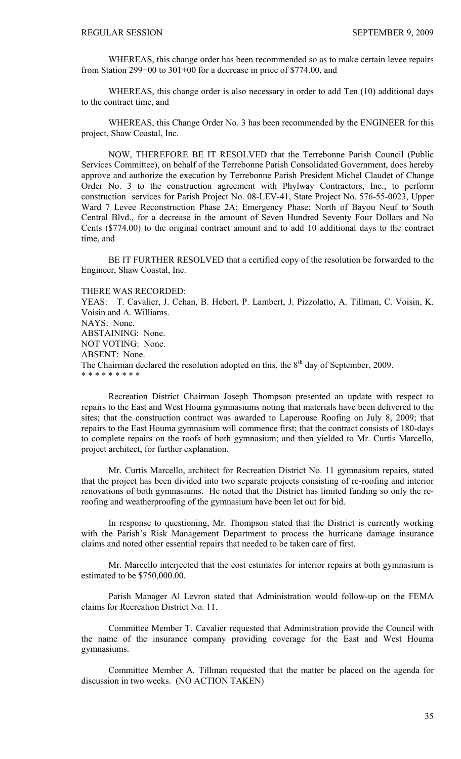WHEREAS, this change order has been recommended so as to make certain levee repairs from Station 299+00 to 301+00 for a decrease in price of \$774.00, and

 WHEREAS, this change order is also necessary in order to add Ten (10) additional days to the contract time, and

 WHEREAS, this Change Order No. 3 has been recommended by the ENGINEER for this project, Shaw Coastal, Inc.

 NOW, THEREFORE BE IT RESOLVED that the Terrebonne Parish Council (Public Services Committee), on behalf of the Terrebonne Parish Consolidated Government, does hereby approve and authorize the execution by Terrebonne Parish President Michel Claudet of Change Order No. 3 to the construction agreement with Phylway Contractors, Inc., to perform construction services for Parish Project No. 08-LEV-41, State Project No. 576-55-0023, Upper Ward 7 Levee Reconstruction Phase 2A; Emergency Phase: North of Bayou Neuf to South Central Blvd., for a decrease in the amount of Seven Hundred Seventy Four Dollars and No Cents (\$774.00) to the original contract amount and to add 10 additional days to the contract time, and

 BE IT FURTHER RESOLVED that a certified copy of the resolution be forwarded to the Engineer, Shaw Coastal, Inc.

THERE WAS RECORDED:

YEAS: T. Cavalier, J. Cehan, B. Hebert, P. Lambert, J. Pizzolatto, A. Tillman, C. Voisin, K. Voisin and A. Williams. NAYS: None. ABSTAINING: None. NOT VOTING: None. ABSENT: None. The Chairman declared the resolution adopted on this, the  $8<sup>th</sup>$  day of September, 2009. \* \* \* \* \* \* \* \* \*

 Recreation District Chairman Joseph Thompson presented an update with respect to repairs to the East and West Houma gymnasiums noting that materials have been delivered to the sites; that the construction contract was awarded to Laperouse Roofing on July 8, 2009; that repairs to the East Houma gymnasium will commence first; that the contract consists of 180-days to complete repairs on the roofs of both gymnasium; and then yielded to Mr. Curtis Marcello, project architect, for further explanation.

 Mr. Curtis Marcello, architect for Recreation District No. 11 gymnasium repairs, stated that the project has been divided into two separate projects consisting of re-roofing and interior renovations of both gymnasiums. He noted that the District has limited funding so only the reroofing and weatherproofing of the gymnasium have been let out for bid.

 In response to questioning, Mr. Thompson stated that the District is currently working with the Parish's Risk Management Department to process the hurricane damage insurance claims and noted other essential repairs that needed to be taken care of first.

 Mr. Marcello interjected that the cost estimates for interior repairs at both gymnasium is estimated to be \$750,000.00.

 Parish Manager Al Levron stated that Administration would follow-up on the FEMA claims for Recreation District No. 11.

 Committee Member T. Cavalier requested that Administration provide the Council with the name of the insurance company providing coverage for the East and West Houma gymnasiums.

 Committee Member A. Tillman requested that the matter be placed on the agenda for discussion in two weeks. (NO ACTION TAKEN)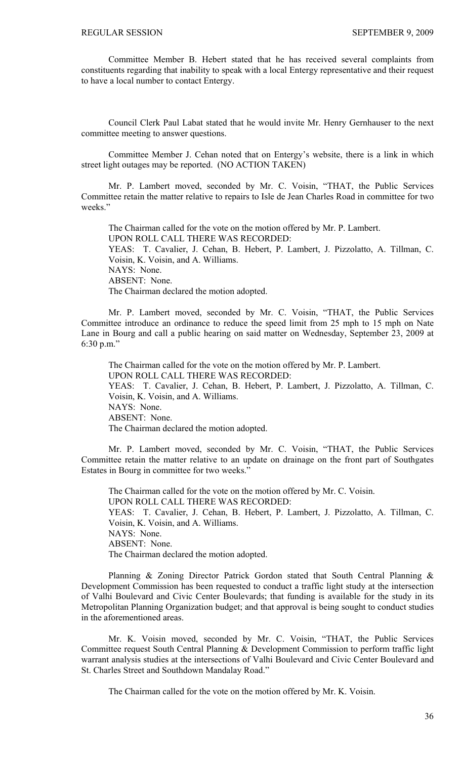Committee Member B. Hebert stated that he has received several complaints from constituents regarding that inability to speak with a local Entergy representative and their request to have a local number to contact Entergy.

 Council Clerk Paul Labat stated that he would invite Mr. Henry Gernhauser to the next committee meeting to answer questions.

Committee Member J. Cehan noted that on Entergy's website, there is a link in which street light outages may be reported. (NO ACTION TAKEN)

 Mr. P. Lambert moved, seconded by Mr. C. Voisin, "THAT, the Public Services Committee retain the matter relative to repairs to Isle de Jean Charles Road in committee for two weeks."

 The Chairman called for the vote on the motion offered by Mr. P. Lambert. UPON ROLL CALL THERE WAS RECORDED: YEAS: T. Cavalier, J. Cehan, B. Hebert, P. Lambert, J. Pizzolatto, A. Tillman, C. Voisin, K. Voisin, and A. Williams. NAYS: None. ABSENT: None. The Chairman declared the motion adopted.

 Mr. P. Lambert moved, seconded by Mr. C. Voisin, "THAT, the Public Services Committee introduce an ordinance to reduce the speed limit from 25 mph to 15 mph on Nate Lane in Bourg and call a public hearing on said matter on Wednesday, September 23, 2009 at 6:30 p.m."

 The Chairman called for the vote on the motion offered by Mr. P. Lambert. UPON ROLL CALL THERE WAS RECORDED: YEAS: T. Cavalier, J. Cehan, B. Hebert, P. Lambert, J. Pizzolatto, A. Tillman, C. Voisin, K. Voisin, and A. Williams. NAYS: None. ABSENT: None. The Chairman declared the motion adopted.

 Mr. P. Lambert moved, seconded by Mr. C. Voisin, "THAT, the Public Services Committee retain the matter relative to an update on drainage on the front part of Southgates Estates in Bourg in committee for two weeks."

 The Chairman called for the vote on the motion offered by Mr. C. Voisin. UPON ROLL CALL THERE WAS RECORDED: YEAS: T. Cavalier, J. Cehan, B. Hebert, P. Lambert, J. Pizzolatto, A. Tillman, C. Voisin, K. Voisin, and A. Williams. NAYS: None. ABSENT: None. The Chairman declared the motion adopted.

 Planning & Zoning Director Patrick Gordon stated that South Central Planning & Development Commission has been requested to conduct a traffic light study at the intersection of Valhi Boulevard and Civic Center Boulevards; that funding is available for the study in its Metropolitan Planning Organization budget; and that approval is being sought to conduct studies in the aforementioned areas.

 Mr. K. Voisin moved, seconded by Mr. C. Voisin, "THAT, the Public Services Committee request South Central Planning & Development Commission to perform traffic light warrant analysis studies at the intersections of Valhi Boulevard and Civic Center Boulevard and St. Charles Street and Southdown Mandalay Road."

The Chairman called for the vote on the motion offered by Mr. K. Voisin.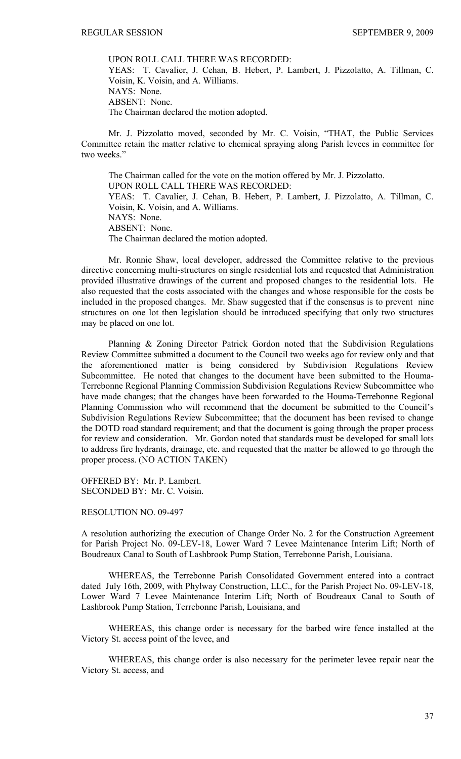UPON ROLL CALL THERE WAS RECORDED: YEAS: T. Cavalier, J. Cehan, B. Hebert, P. Lambert, J. Pizzolatto, A. Tillman, C. Voisin, K. Voisin, and A. Williams. NAYS: None. ABSENT: None. The Chairman declared the motion adopted.

 Mr. J. Pizzolatto moved, seconded by Mr. C. Voisin, "THAT, the Public Services Committee retain the matter relative to chemical spraying along Parish levees in committee for two weeks."

 The Chairman called for the vote on the motion offered by Mr. J. Pizzolatto. UPON ROLL CALL THERE WAS RECORDED: YEAS: T. Cavalier, J. Cehan, B. Hebert, P. Lambert, J. Pizzolatto, A. Tillman, C. Voisin, K. Voisin, and A. Williams. NAYS: None. ABSENT: None. The Chairman declared the motion adopted.

 Mr. Ronnie Shaw, local developer, addressed the Committee relative to the previous directive concerning multi-structures on single residential lots and requested that Administration provided illustrative drawings of the current and proposed changes to the residential lots. He also requested that the costs associated with the changes and whose responsible for the costs be included in the proposed changes. Mr. Shaw suggested that if the consensus is to prevent nine structures on one lot then legislation should be introduced specifying that only two structures may be placed on one lot.

 Planning & Zoning Director Patrick Gordon noted that the Subdivision Regulations Review Committee submitted a document to the Council two weeks ago for review only and that the aforementioned matter is being considered by Subdivision Regulations Review Subcommittee. He noted that changes to the document have been submitted to the Houma-Terrebonne Regional Planning Commission Subdivision Regulations Review Subcommittee who have made changes; that the changes have been forwarded to the Houma-Terrebonne Regional Planning Commission who will recommend that the document be submitted to the Council's Subdivision Regulations Review Subcommittee; that the document has been revised to change the DOTD road standard requirement; and that the document is going through the proper process for review and consideration. Mr. Gordon noted that standards must be developed for small lots to address fire hydrants, drainage, etc. and requested that the matter be allowed to go through the proper process. (NO ACTION TAKEN)

OFFERED BY: Mr. P. Lambert. SECONDED BY: Mr. C. Voisin.

# RESOLUTION NO. 09-497

A resolution authorizing the execution of Change Order No. 2 for the Construction Agreement for Parish Project No. 09-LEV-18, Lower Ward 7 Levee Maintenance Interim Lift; North of Boudreaux Canal to South of Lashbrook Pump Station, Terrebonne Parish, Louisiana.

 WHEREAS, the Terrebonne Parish Consolidated Government entered into a contract dated July 16th, 2009, with Phylway Construction, LLC., for the Parish Project No. 09-LEV-18, Lower Ward 7 Levee Maintenance Interim Lift; North of Boudreaux Canal to South of Lashbrook Pump Station, Terrebonne Parish, Louisiana, and

 WHEREAS, this change order is necessary for the barbed wire fence installed at the Victory St. access point of the levee, and

 WHEREAS, this change order is also necessary for the perimeter levee repair near the Victory St. access, and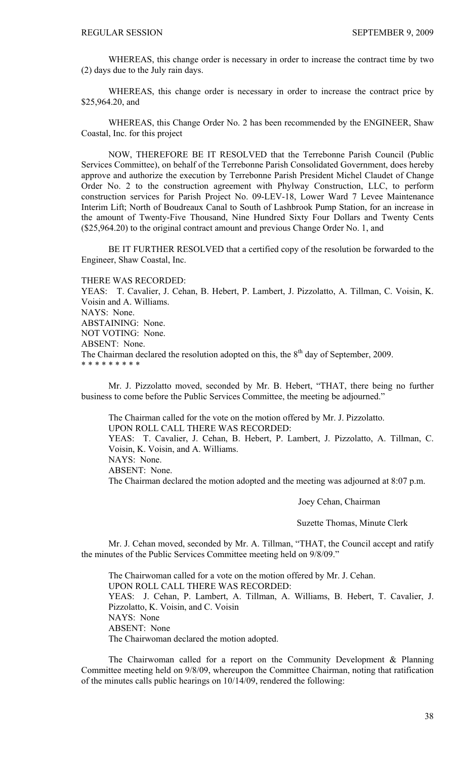WHEREAS, this change order is necessary in order to increase the contract time by two (2) days due to the July rain days.

 WHEREAS, this change order is necessary in order to increase the contract price by \$25,964.20, and

 WHEREAS, this Change Order No. 2 has been recommended by the ENGINEER, Shaw Coastal, Inc. for this project

 NOW, THEREFORE BE IT RESOLVED that the Terrebonne Parish Council (Public Services Committee), on behalf of the Terrebonne Parish Consolidated Government, does hereby approve and authorize the execution by Terrebonne Parish President Michel Claudet of Change Order No. 2 to the construction agreement with Phylway Construction, LLC, to perform construction services for Parish Project No. 09-LEV-18, Lower Ward 7 Levee Maintenance Interim Lift; North of Boudreaux Canal to South of Lashbrook Pump Station, for an increase in the amount of Twenty-Five Thousand, Nine Hundred Sixty Four Dollars and Twenty Cents (\$25,964.20) to the original contract amount and previous Change Order No. 1, and

 BE IT FURTHER RESOLVED that a certified copy of the resolution be forwarded to the Engineer, Shaw Coastal, Inc.

THERE WAS RECORDED:

YEAS: T. Cavalier, J. Cehan, B. Hebert, P. Lambert, J. Pizzolatto, A. Tillman, C. Voisin, K. Voisin and A. Williams. NAYS: None. ABSTAINING: None. NOT VOTING: None. ABSENT: None. The Chairman declared the resolution adopted on this, the  $8<sup>th</sup>$  day of September, 2009. \* \* \* \* \* \* \* \* \*

 Mr. J. Pizzolatto moved, seconded by Mr. B. Hebert, "THAT, there being no further business to come before the Public Services Committee, the meeting be adjourned."

 The Chairman called for the vote on the motion offered by Mr. J. Pizzolatto. UPON ROLL CALL THERE WAS RECORDED: YEAS: T. Cavalier, J. Cehan, B. Hebert, P. Lambert, J. Pizzolatto, A. Tillman, C. Voisin, K. Voisin, and A. Williams. NAYS: None. ABSENT: None. The Chairman declared the motion adopted and the meeting was adjourned at 8:07 p.m.

Joey Cehan, Chairman

Suzette Thomas, Minute Clerk

 Mr. J. Cehan moved, seconded by Mr. A. Tillman, "THAT, the Council accept and ratify the minutes of the Public Services Committee meeting held on 9/8/09."

 The Chairwoman called for a vote on the motion offered by Mr. J. Cehan. UPON ROLL CALL THERE WAS RECORDED: YEAS: J. Cehan, P. Lambert, A. Tillman, A. Williams, B. Hebert, T. Cavalier, J. Pizzolatto, K. Voisin, and C. Voisin NAYS: None ABSENT: None The Chairwoman declared the motion adopted.

 The Chairwoman called for a report on the Community Development & Planning Committee meeting held on 9/8/09, whereupon the Committee Chairman, noting that ratification of the minutes calls public hearings on 10/14/09, rendered the following: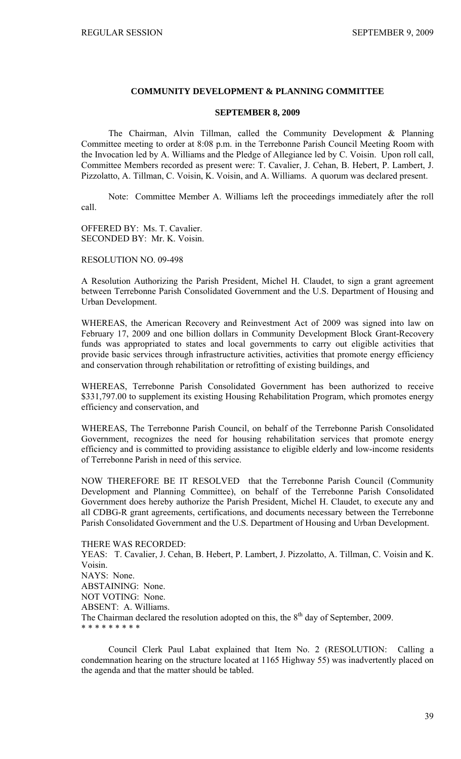# **COMMUNITY DEVELOPMENT & PLANNING COMMITTEE**

# **SEPTEMBER 8, 2009**

 The Chairman, Alvin Tillman, called the Community Development & Planning Committee meeting to order at 8:08 p.m. in the Terrebonne Parish Council Meeting Room with the Invocation led by A. Williams and the Pledge of Allegiance led by C. Voisin. Upon roll call, Committee Members recorded as present were: T. Cavalier, J. Cehan, B. Hebert, P. Lambert, J. Pizzolatto, A. Tillman, C. Voisin, K. Voisin, and A. Williams. A quorum was declared present.

 Note: Committee Member A. Williams left the proceedings immediately after the roll call.

OFFERED BY: Ms. T. Cavalier. SECONDED BY: Mr. K. Voisin.

RESOLUTION NO. 09-498

A Resolution Authorizing the Parish President, Michel H. Claudet, to sign a grant agreement between Terrebonne Parish Consolidated Government and the U.S. Department of Housing and Urban Development.

WHEREAS, the American Recovery and Reinvestment Act of 2009 was signed into law on February 17, 2009 and one billion dollars in Community Development Block Grant-Recovery funds was appropriated to states and local governments to carry out eligible activities that provide basic services through infrastructure activities, activities that promote energy efficiency and conservation through rehabilitation or retrofitting of existing buildings, and

WHEREAS, Terrebonne Parish Consolidated Government has been authorized to receive \$331,797.00 to supplement its existing Housing Rehabilitation Program, which promotes energy efficiency and conservation, and

WHEREAS, The Terrebonne Parish Council, on behalf of the Terrebonne Parish Consolidated Government, recognizes the need for housing rehabilitation services that promote energy efficiency and is committed to providing assistance to eligible elderly and low-income residents of Terrebonne Parish in need of this service.

NOW THEREFORE BE IT RESOLVED that the Terrebonne Parish Council (Community Development and Planning Committee), on behalf of the Terrebonne Parish Consolidated Government does hereby authorize the Parish President, Michel H. Claudet, to execute any and all CDBG-R grant agreements, certifications, and documents necessary between the Terrebonne Parish Consolidated Government and the U.S. Department of Housing and Urban Development.

THERE WAS RECORDED: YEAS: T. Cavalier, J. Cehan, B. Hebert, P. Lambert, J. Pizzolatto, A. Tillman, C. Voisin and K. Voisin. NAYS: None. ABSTAINING: None. NOT VOTING: None. ABSENT: A. Williams. The Chairman declared the resolution adopted on this, the  $8<sup>th</sup>$  day of September, 2009. \* \* \* \* \* \* \* \* \*

 Council Clerk Paul Labat explained that Item No. 2 (RESOLUTION: Calling a condemnation hearing on the structure located at 1165 Highway 55) was inadvertently placed on the agenda and that the matter should be tabled.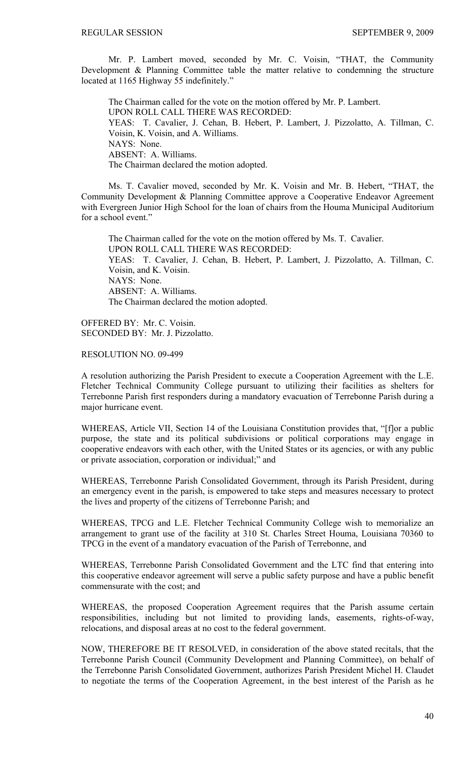Mr. P. Lambert moved, seconded by Mr. C. Voisin, "THAT, the Community Development & Planning Committee table the matter relative to condemning the structure located at 1165 Highway 55 indefinitely."

 The Chairman called for the vote on the motion offered by Mr. P. Lambert. UPON ROLL CALL THERE WAS RECORDED: YEAS: T. Cavalier, J. Cehan, B. Hebert, P. Lambert, J. Pizzolatto, A. Tillman, C. Voisin, K. Voisin, and A. Williams. NAYS: None. ABSENT: A. Williams. The Chairman declared the motion adopted.

 Ms. T. Cavalier moved, seconded by Mr. K. Voisin and Mr. B. Hebert, "THAT, the Community Development & Planning Committee approve a Cooperative Endeavor Agreement with Evergreen Junior High School for the loan of chairs from the Houma Municipal Auditorium for a school event."

The Chairman called for the vote on the motion offered by Ms. T. Cavalier. UPON ROLL CALL THERE WAS RECORDED: YEAS: T. Cavalier, J. Cehan, B. Hebert, P. Lambert, J. Pizzolatto, A. Tillman, C. Voisin, and K. Voisin. NAYS: None. ABSENT: A. Williams. The Chairman declared the motion adopted.

OFFERED BY: Mr. C. Voisin. SECONDED BY: Mr. J. Pizzolatto.

RESOLUTION NO. 09-499

A resolution authorizing the Parish President to execute a Cooperation Agreement with the L.E. Fletcher Technical Community College pursuant to utilizing their facilities as shelters for Terrebonne Parish first responders during a mandatory evacuation of Terrebonne Parish during a major hurricane event.

WHEREAS, Article VII, Section 14 of the Louisiana Constitution provides that, "[f]or a public purpose, the state and its political subdivisions or political corporations may engage in cooperative endeavors with each other, with the United States or its agencies, or with any public or private association, corporation or individual;" and

WHEREAS, Terrebonne Parish Consolidated Government, through its Parish President, during an emergency event in the parish, is empowered to take steps and measures necessary to protect the lives and property of the citizens of Terrebonne Parish; and

WHEREAS, TPCG and L.E. Fletcher Technical Community College wish to memorialize an arrangement to grant use of the facility at 310 St. Charles Street Houma, Louisiana 70360 to TPCG in the event of a mandatory evacuation of the Parish of Terrebonne, and

WHEREAS, Terrebonne Parish Consolidated Government and the LTC find that entering into this cooperative endeavor agreement will serve a public safety purpose and have a public benefit commensurate with the cost; and

WHEREAS, the proposed Cooperation Agreement requires that the Parish assume certain responsibilities, including but not limited to providing lands, easements, rights-of-way, relocations, and disposal areas at no cost to the federal government.

NOW, THEREFORE BE IT RESOLVED, in consideration of the above stated recitals, that the Terrebonne Parish Council (Community Development and Planning Committee), on behalf of the Terrebonne Parish Consolidated Government, authorizes Parish President Michel H. Claudet to negotiate the terms of the Cooperation Agreement, in the best interest of the Parish as he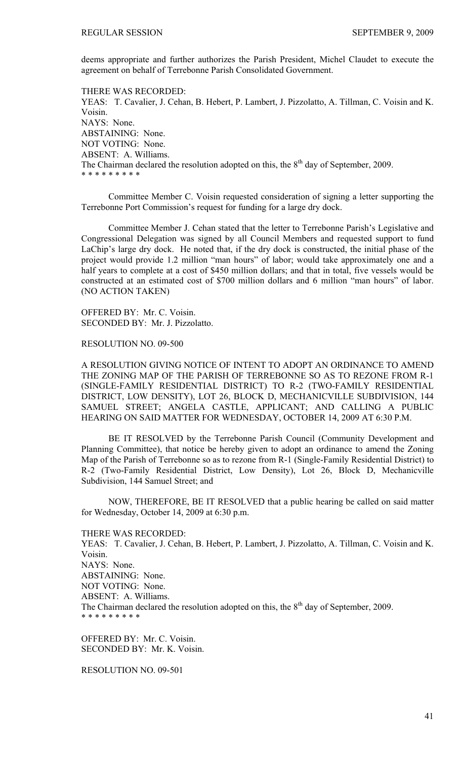deems appropriate and further authorizes the Parish President, Michel Claudet to execute the agreement on behalf of Terrebonne Parish Consolidated Government.

THERE WAS RECORDED: YEAS: T. Cavalier, J. Cehan, B. Hebert, P. Lambert, J. Pizzolatto, A. Tillman, C. Voisin and K. Voisin. NAYS: None. ABSTAINING: None. NOT VOTING: None. ABSENT: A. Williams. The Chairman declared the resolution adopted on this, the  $8<sup>th</sup>$  day of September, 2009. \* \* \* \* \* \* \* \* \*

 Committee Member C. Voisin requested consideration of signing a letter supporting the Terrebonne Port Commission's request for funding for a large dry dock.

 Committee Member J. Cehan stated that the letter to Terrebonne Parish's Legislative and Congressional Delegation was signed by all Council Members and requested support to fund LaChip's large dry dock. He noted that, if the dry dock is constructed, the initial phase of the project would provide 1.2 million "man hours" of labor; would take approximately one and a half years to complete at a cost of \$450 million dollars; and that in total, five vessels would be constructed at an estimated cost of \$700 million dollars and 6 million "man hours" of labor. (NO ACTION TAKEN)

OFFERED BY: Mr. C. Voisin. SECONDED BY: Mr. J. Pizzolatto.

RESOLUTION NO. 09-500

A RESOLUTION GIVING NOTICE OF INTENT TO ADOPT AN ORDINANCE TO AMEND THE ZONING MAP OF THE PARISH OF TERREBONNE SO AS TO REZONE FROM R-1 (SINGLE-FAMILY RESIDENTIAL DISTRICT) TO R-2 (TWO-FAMILY RESIDENTIAL DISTRICT, LOW DENSITY), LOT 26, BLOCK D, MECHANICVILLE SUBDIVISION, 144 SAMUEL STREET; ANGELA CASTLE, APPLICANT; AND CALLING A PUBLIC HEARING ON SAID MATTER FOR WEDNESDAY, OCTOBER 14, 2009 AT 6:30 P.M.

BE IT RESOLVED by the Terrebonne Parish Council (Community Development and Planning Committee), that notice be hereby given to adopt an ordinance to amend the Zoning Map of the Parish of Terrebonne so as to rezone from R-1 (Single-Family Residential District) to R-2 (Two-Family Residential District, Low Density), Lot 26, Block D, Mechanicville Subdivision, 144 Samuel Street; and

NOW, THEREFORE, BE IT RESOLVED that a public hearing be called on said matter for Wednesday, October 14, 2009 at 6:30 p.m.

THERE WAS RECORDED:

YEAS: T. Cavalier, J. Cehan, B. Hebert, P. Lambert, J. Pizzolatto, A. Tillman, C. Voisin and K. Voisin. NAYS: None. ABSTAINING: None. NOT VOTING: None. ABSENT: A. Williams. The Chairman declared the resolution adopted on this, the  $8<sup>th</sup>$  day of September, 2009. \* \* \* \* \* \* \* \* \*

OFFERED BY: Mr. C. Voisin. SECONDED BY: Mr. K. Voisin.

RESOLUTION NO. 09-501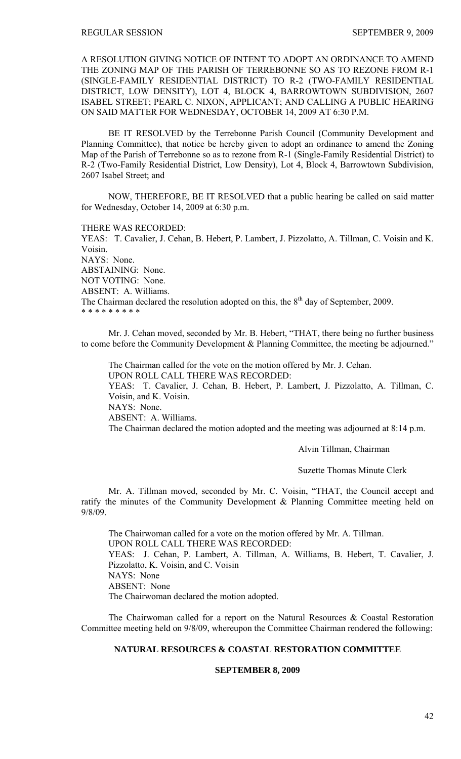A RESOLUTION GIVING NOTICE OF INTENT TO ADOPT AN ORDINANCE TO AMEND THE ZONING MAP OF THE PARISH OF TERREBONNE SO AS TO REZONE FROM R-1 (SINGLE-FAMILY RESIDENTIAL DISTRICT) TO R-2 (TWO-FAMILY RESIDENTIAL DISTRICT, LOW DENSITY), LOT 4, BLOCK 4, BARROWTOWN SUBDIVISION, 2607 ISABEL STREET; PEARL C. NIXON, APPLICANT; AND CALLING A PUBLIC HEARING ON SAID MATTER FOR WEDNESDAY, OCTOBER 14, 2009 AT 6:30 P.M.

BE IT RESOLVED by the Terrebonne Parish Council (Community Development and Planning Committee), that notice be hereby given to adopt an ordinance to amend the Zoning Map of the Parish of Terrebonne so as to rezone from R-1 (Single-Family Residential District) to R-2 (Two-Family Residential District, Low Density), Lot 4, Block 4, Barrowtown Subdivision, 2607 Isabel Street; and

NOW, THEREFORE, BE IT RESOLVED that a public hearing be called on said matter for Wednesday, October 14, 2009 at 6:30 p.m.

THERE WAS RECORDED: YEAS: T. Cavalier, J. Cehan, B. Hebert, P. Lambert, J. Pizzolatto, A. Tillman, C. Voisin and K. Voisin. NAYS: None. ABSTAINING: None. NOT VOTING: None. ABSENT: A. Williams. The Chairman declared the resolution adopted on this, the  $8<sup>th</sup>$  day of September, 2009. \* \* \* \* \* \* \* \* \*

 Mr. J. Cehan moved, seconded by Mr. B. Hebert, "THAT, there being no further business to come before the Community Development & Planning Committee, the meeting be adjourned."

 The Chairman called for the vote on the motion offered by Mr. J. Cehan. UPON ROLL CALL THERE WAS RECORDED: YEAS: T. Cavalier, J. Cehan, B. Hebert, P. Lambert, J. Pizzolatto, A. Tillman, C. Voisin, and K. Voisin. NAYS: None. ABSENT: A. Williams. The Chairman declared the motion adopted and the meeting was adjourned at 8:14 p.m.

Alvin Tillman, Chairman

Suzette Thomas Minute Clerk

Mr. A. Tillman moved, seconded by Mr. C. Voisin, "THAT, the Council accept and ratify the minutes of the Community Development & Planning Committee meeting held on 9/8/09.

 The Chairwoman called for a vote on the motion offered by Mr. A. Tillman. UPON ROLL CALL THERE WAS RECORDED: YEAS: J. Cehan, P. Lambert, A. Tillman, A. Williams, B. Hebert, T. Cavalier, J. Pizzolatto, K. Voisin, and C. Voisin NAYS: None ABSENT: None The Chairwoman declared the motion adopted.

 The Chairwoman called for a report on the Natural Resources & Coastal Restoration Committee meeting held on 9/8/09, whereupon the Committee Chairman rendered the following:

# **NATURAL RESOURCES & COASTAL RESTORATION COMMITTEE**

## **SEPTEMBER 8, 2009**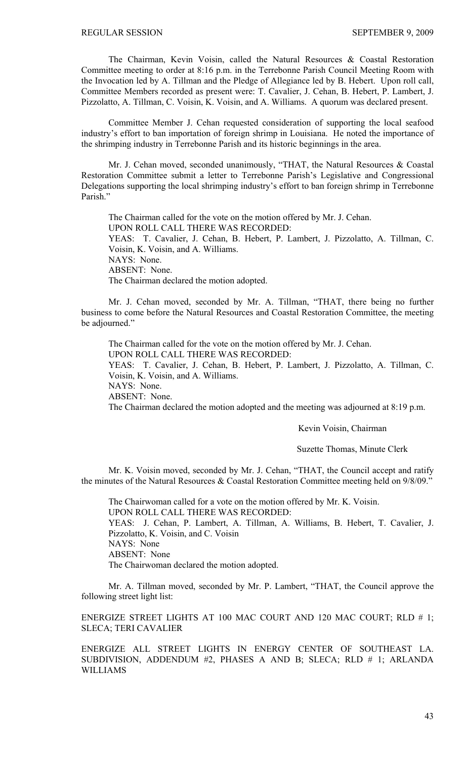The Chairman, Kevin Voisin, called the Natural Resources & Coastal Restoration Committee meeting to order at 8:16 p.m. in the Terrebonne Parish Council Meeting Room with the Invocation led by A. Tillman and the Pledge of Allegiance led by B. Hebert. Upon roll call, Committee Members recorded as present were: T. Cavalier, J. Cehan, B. Hebert, P. Lambert, J. Pizzolatto, A. Tillman, C. Voisin, K. Voisin, and A. Williams. A quorum was declared present.

 Committee Member J. Cehan requested consideration of supporting the local seafood industry's effort to ban importation of foreign shrimp in Louisiana. He noted the importance of the shrimping industry in Terrebonne Parish and its historic beginnings in the area.

 Mr. J. Cehan moved, seconded unanimously, "THAT, the Natural Resources & Coastal Restoration Committee submit a letter to Terrebonne Parish's Legislative and Congressional Delegations supporting the local shrimping industry's effort to ban foreign shrimp in Terrebonne Parish<sup>"</sup>

 The Chairman called for the vote on the motion offered by Mr. J. Cehan. UPON ROLL CALL THERE WAS RECORDED: YEAS: T. Cavalier, J. Cehan, B. Hebert, P. Lambert, J. Pizzolatto, A. Tillman, C. Voisin, K. Voisin, and A. Williams. NAYS: None. ABSENT: None. The Chairman declared the motion adopted.

 Mr. J. Cehan moved, seconded by Mr. A. Tillman, "THAT, there being no further business to come before the Natural Resources and Coastal Restoration Committee, the meeting be adjourned."

 The Chairman called for the vote on the motion offered by Mr. J. Cehan. UPON ROLL CALL THERE WAS RECORDED: YEAS: T. Cavalier, J. Cehan, B. Hebert, P. Lambert, J. Pizzolatto, A. Tillman, C. Voisin, K. Voisin, and A. Williams. NAYS: None. ABSENT: None. The Chairman declared the motion adopted and the meeting was adjourned at 8:19 p.m.

Kevin Voisin, Chairman

Suzette Thomas, Minute Clerk

 Mr. K. Voisin moved, seconded by Mr. J. Cehan, "THAT, the Council accept and ratify the minutes of the Natural Resources & Coastal Restoration Committee meeting held on 9/8/09."

 The Chairwoman called for a vote on the motion offered by Mr. K. Voisin. UPON ROLL CALL THERE WAS RECORDED: YEAS: J. Cehan, P. Lambert, A. Tillman, A. Williams, B. Hebert, T. Cavalier, J. Pizzolatto, K. Voisin, and C. Voisin NAYS: None ABSENT: None The Chairwoman declared the motion adopted.

 Mr. A. Tillman moved, seconded by Mr. P. Lambert, "THAT, the Council approve the following street light list:

ENERGIZE STREET LIGHTS AT 100 MAC COURT AND 120 MAC COURT; RLD # 1; SLECA; TERI CAVALIER

ENERGIZE ALL STREET LIGHTS IN ENERGY CENTER OF SOUTHEAST LA. SUBDIVISION, ADDENDUM #2, PHASES A AND B; SLECA; RLD # 1; ARLANDA WILLIAMS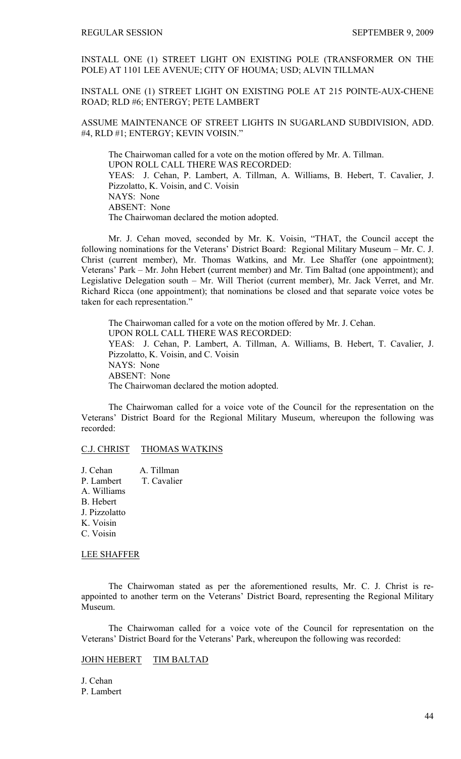INSTALL ONE (1) STREET LIGHT ON EXISTING POLE (TRANSFORMER ON THE POLE) AT 1101 LEE AVENUE; CITY OF HOUMA; USD; ALVIN TILLMAN

INSTALL ONE (1) STREET LIGHT ON EXISTING POLE AT 215 POINTE-AUX-CHENE ROAD; RLD #6; ENTERGY; PETE LAMBERT

ASSUME MAINTENANCE OF STREET LIGHTS IN SUGARLAND SUBDIVISION, ADD. #4, RLD #1; ENTERGY; KEVIN VOISIN."

The Chairwoman called for a vote on the motion offered by Mr. A. Tillman. UPON ROLL CALL THERE WAS RECORDED: YEAS: J. Cehan, P. Lambert, A. Tillman, A. Williams, B. Hebert, T. Cavalier, J. Pizzolatto, K. Voisin, and C. Voisin NAYS: None ABSENT: None The Chairwoman declared the motion adopted.

 Mr. J. Cehan moved, seconded by Mr. K. Voisin, "THAT, the Council accept the following nominations for the Veterans' District Board: Regional Military Museum – Mr. C. J. Christ (current member), Mr. Thomas Watkins, and Mr. Lee Shaffer (one appointment); Veterans' Park – Mr. John Hebert (current member) and Mr. Tim Baltad (one appointment); and Legislative Delegation south – Mr. Will Theriot (current member), Mr. Jack Verret, and Mr. Richard Ricca (one appointment); that nominations be closed and that separate voice votes be taken for each representation."

 The Chairwoman called for a vote on the motion offered by Mr. J. Cehan. UPON ROLL CALL THERE WAS RECORDED: YEAS: J. Cehan, P. Lambert, A. Tillman, A. Williams, B. Hebert, T. Cavalier, J. Pizzolatto, K. Voisin, and C. Voisin NAYS: None ABSENT: None The Chairwoman declared the motion adopted.

 The Chairwoman called for a voice vote of the Council for the representation on the Veterans' District Board for the Regional Military Museum, whereupon the following was recorded:

# C.J. CHRIST THOMAS WATKINS

J. Cehan A. Tillman P. Lambert T. Cavalier A. Williams B. Hebert J. Pizzolatto K. Voisin C. Voisin

# LEE SHAFFER

The Chairwoman stated as per the aforementioned results, Mr. C. J. Christ is reappointed to another term on the Veterans' District Board, representing the Regional Military Museum.

The Chairwoman called for a voice vote of the Council for representation on the Veterans' District Board for the Veterans' Park, whereupon the following was recorded:

## JOHN HEBERT TIM BALTAD

J. Cehan P. Lambert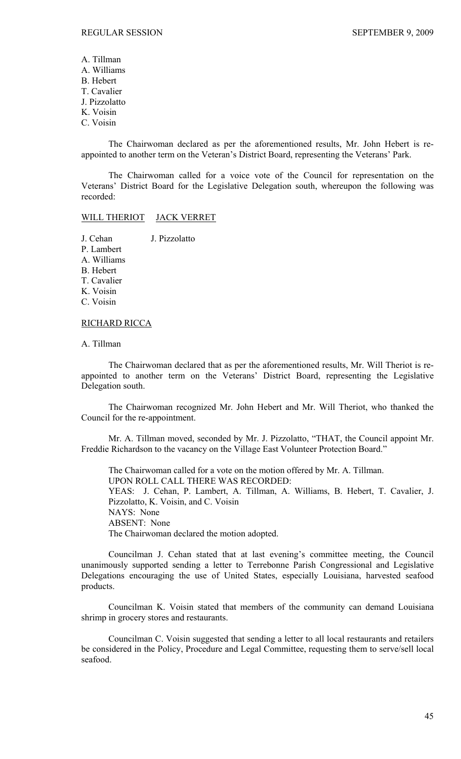A. Tillman A. Williams B. Hebert T. Cavalier J. Pizzolatto K. Voisin C. Voisin

The Chairwoman declared as per the aforementioned results, Mr. John Hebert is reappointed to another term on the Veteran's District Board, representing the Veterans' Park.

The Chairwoman called for a voice vote of the Council for representation on the Veterans' District Board for the Legislative Delegation south, whereupon the following was recorded:

### WILL THERIOT JACK VERRET

J. Cehan J. Pizzolatto P. Lambert A. Williams B. Hebert T. Cavalier K. Voisin C. Voisin RICHARD RICCA

# A. Tillman

The Chairwoman declared that as per the aforementioned results, Mr. Will Theriot is reappointed to another term on the Veterans' District Board, representing the Legislative Delegation south.

The Chairwoman recognized Mr. John Hebert and Mr. Will Theriot, who thanked the Council for the re-appointment.

Mr. A. Tillman moved, seconded by Mr. J. Pizzolatto, "THAT, the Council appoint Mr. Freddie Richardson to the vacancy on the Village East Volunteer Protection Board."

The Chairwoman called for a vote on the motion offered by Mr. A. Tillman. UPON ROLL CALL THERE WAS RECORDED: YEAS: J. Cehan, P. Lambert, A. Tillman, A. Williams, B. Hebert, T. Cavalier, J. Pizzolatto, K. Voisin, and C. Voisin NAYS: None ABSENT: None The Chairwoman declared the motion adopted.

Councilman J. Cehan stated that at last evening's committee meeting, the Council unanimously supported sending a letter to Terrebonne Parish Congressional and Legislative Delegations encouraging the use of United States, especially Louisiana, harvested seafood products.

Councilman K. Voisin stated that members of the community can demand Louisiana shrimp in grocery stores and restaurants.

 Councilman C. Voisin suggested that sending a letter to all local restaurants and retailers be considered in the Policy, Procedure and Legal Committee, requesting them to serve/sell local seafood.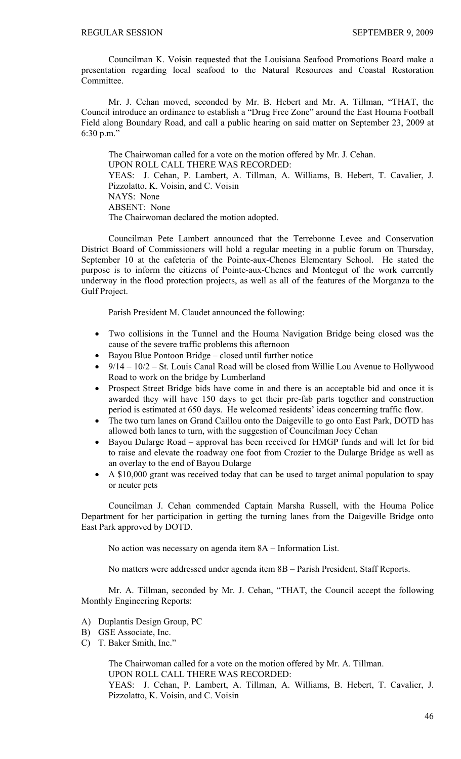Councilman K. Voisin requested that the Louisiana Seafood Promotions Board make a presentation regarding local seafood to the Natural Resources and Coastal Restoration Committee.

Mr. J. Cehan moved, seconded by Mr. B. Hebert and Mr. A. Tillman, "THAT, the Council introduce an ordinance to establish a "Drug Free Zone" around the East Houma Football Field along Boundary Road, and call a public hearing on said matter on September 23, 2009 at 6:30 p.m."

The Chairwoman called for a vote on the motion offered by Mr. J. Cehan. UPON ROLL CALL THERE WAS RECORDED: YEAS: J. Cehan, P. Lambert, A. Tillman, A. Williams, B. Hebert, T. Cavalier, J. Pizzolatto, K. Voisin, and C. Voisin NAYS: None ABSENT: None The Chairwoman declared the motion adopted.

Councilman Pete Lambert announced that the Terrebonne Levee and Conservation District Board of Commissioners will hold a regular meeting in a public forum on Thursday, September 10 at the cafeteria of the Pointe-aux-Chenes Elementary School. He stated the purpose is to inform the citizens of Pointe-aux-Chenes and Montegut of the work currently underway in the flood protection projects, as well as all of the features of the Morganza to the Gulf Project.

Parish President M. Claudet announced the following:

- Two collisions in the Tunnel and the Houma Navigation Bridge being closed was the cause of the severe traffic problems this afternoon
- Bayou Blue Pontoon Bridge closed until further notice
- $9/14 10/2 St$ . Louis Canal Road will be closed from Willie Lou Avenue to Hollywood Road to work on the bridge by Lumberland
- Prospect Street Bridge bids have come in and there is an acceptable bid and once it is awarded they will have 150 days to get their pre-fab parts together and construction period is estimated at 650 days. He welcomed residents' ideas concerning traffic flow.
- The two turn lanes on Grand Caillou onto the Daigeville to go onto East Park, DOTD has allowed both lanes to turn, with the suggestion of Councilman Joey Cehan
- Bayou Dularge Road approval has been received for HMGP funds and will let for bid to raise and elevate the roadway one foot from Crozier to the Dularge Bridge as well as an overlay to the end of Bayou Dularge
- A \$10,000 grant was received today that can be used to target animal population to spay or neuter pets

Councilman J. Cehan commended Captain Marsha Russell, with the Houma Police Department for her participation in getting the turning lanes from the Daigeville Bridge onto East Park approved by DOTD.

No action was necessary on agenda item 8A – Information List.

No matters were addressed under agenda item 8B – Parish President, Staff Reports.

 Mr. A. Tillman, seconded by Mr. J. Cehan, "THAT, the Council accept the following Monthly Engineering Reports:

- A) Duplantis Design Group, PC
- B) GSE Associate, Inc.
- C) T. Baker Smith, Inc."

 The Chairwoman called for a vote on the motion offered by Mr. A. Tillman. UPON ROLL CALL THERE WAS RECORDED: YEAS: J. Cehan, P. Lambert, A. Tillman, A. Williams, B. Hebert, T. Cavalier, J. Pizzolatto, K. Voisin, and C. Voisin